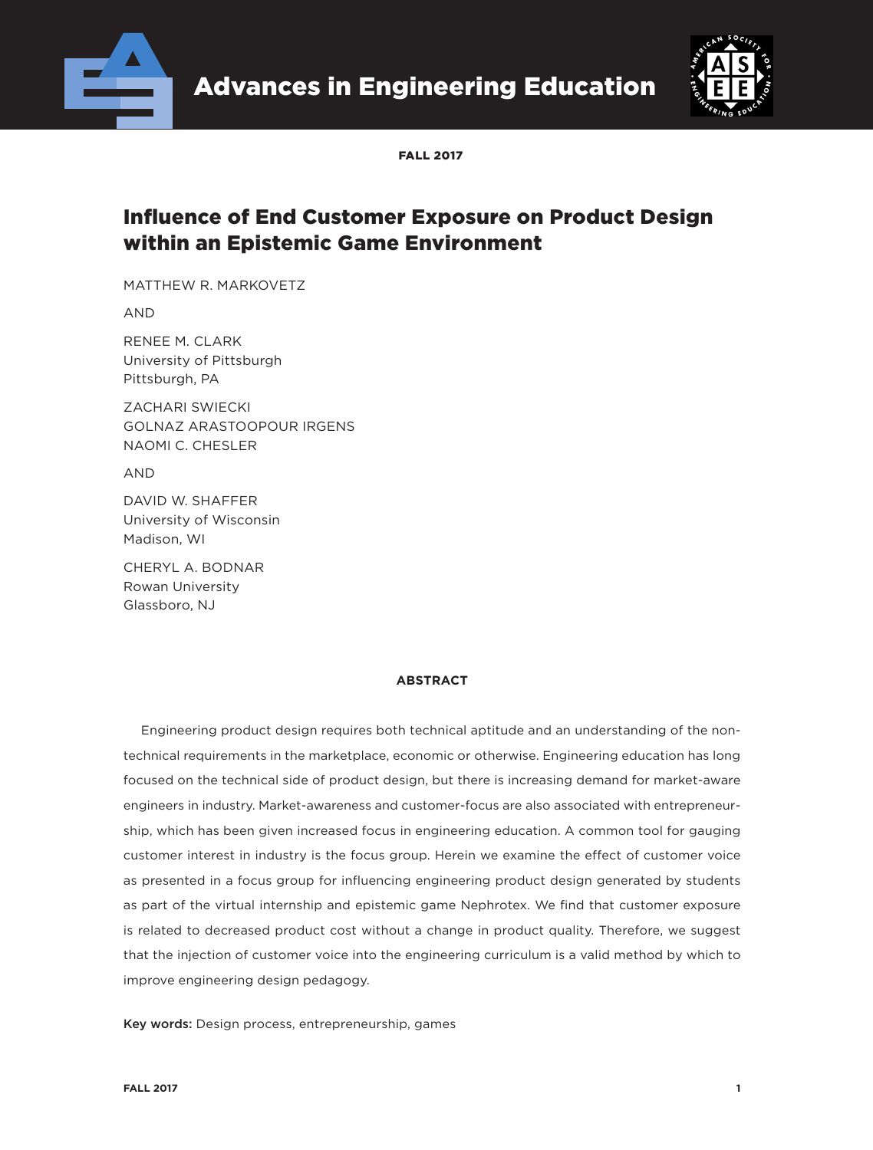

Advances in Engineering Education



FALL 2017

# Influence of End Customer Exposure on Product Design within an Epistemic Game Environment

MATTHEW R. MARKOVETZ

AND

RENEE M. CLARK University of Pittsburgh Pittsburgh, PA

ZACHARI SWIECKI GOLNAZ ARASTOOPOUR IRGENS NAOMI C. CHESLER

AND

DAVID W. SHAFFER University of Wisconsin Madison, WI

CHERYL A. BODNAR Rowan University Glassboro, NJ

#### **ABSTRACT**

Engineering product design requires both technical aptitude and an understanding of the nontechnical requirements in the marketplace, economic or otherwise. Engineering education has long focused on the technical side of product design, but there is increasing demand for market-aware engineers in industry. Market-awareness and customer-focus are also associated with entrepreneurship, which has been given increased focus in engineering education. A common tool for gauging customer interest in industry is the focus group. Herein we examine the effect of customer voice as presented in a focus group for influencing engineering product design generated by students as part of the virtual internship and epistemic game Nephrotex. We find that customer exposure is related to decreased product cost without a change in product quality. Therefore, we suggest that the injection of customer voice into the engineering curriculum is a valid method by which to improve engineering design pedagogy.

Key words: Design process, entrepreneurship, games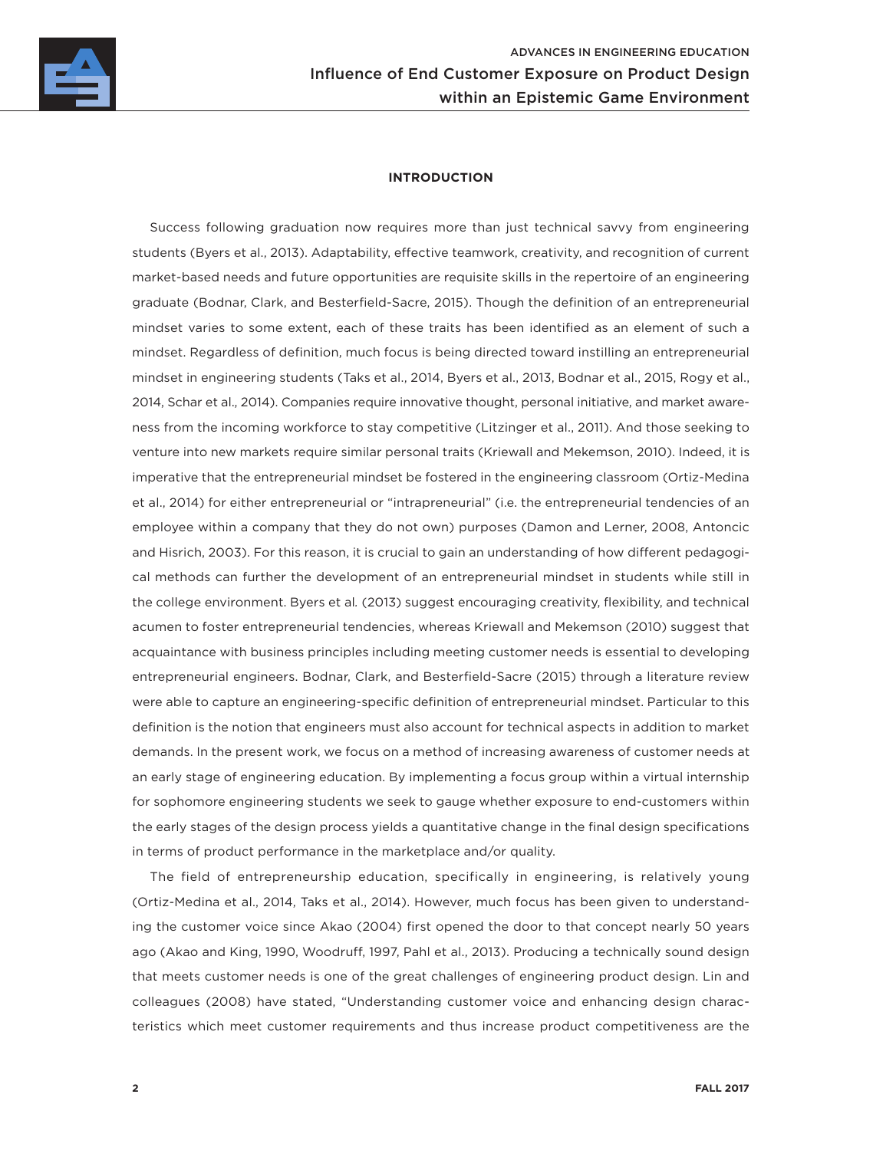

#### **INTRODUCTION**

Success following graduation now requires more than just technical savvy from engineering students (Byers et al., 2013). Adaptability, effective teamwork, creativity, and recognition of current market-based needs and future opportunities are requisite skills in the repertoire of an engineering graduate (Bodnar, Clark, and Besterfield-Sacre, 2015). Though the definition of an entrepreneurial mindset varies to some extent, each of these traits has been identified as an element of such a mindset. Regardless of definition, much focus is being directed toward instilling an entrepreneurial mindset in engineering students (Taks et al., 2014, Byers et al., 2013, Bodnar et al., 2015, Rogy et al., 2014, Schar et al., 2014). Companies require innovative thought, personal initiative, and market awareness from the incoming workforce to stay competitive (Litzinger et al., 2011). And those seeking to venture into new markets require similar personal traits (Kriewall and Mekemson, 2010). Indeed, it is imperative that the entrepreneurial mindset be fostered in the engineering classroom (Ortiz-Medina et al., 2014) for either entrepreneurial or "intrapreneurial" (i.e. the entrepreneurial tendencies of an employee within a company that they do not own) purposes (Damon and Lerner, 2008, Antoncic and Hisrich, 2003). For this reason, it is crucial to gain an understanding of how different pedagogical methods can further the development of an entrepreneurial mindset in students while still in the college environment. Byers et al*.* (2013) suggest encouraging creativity, flexibility, and technical acumen to foster entrepreneurial tendencies, whereas Kriewall and Mekemson (2010) suggest that acquaintance with business principles including meeting customer needs is essential to developing entrepreneurial engineers. Bodnar, Clark, and Besterfield-Sacre (2015) through a literature review were able to capture an engineering-specific definition of entrepreneurial mindset. Particular to this definition is the notion that engineers must also account for technical aspects in addition to market demands. In the present work, we focus on a method of increasing awareness of customer needs at an early stage of engineering education. By implementing a focus group within a virtual internship for sophomore engineering students we seek to gauge whether exposure to end-customers within the early stages of the design process yields a quantitative change in the final design specifications in terms of product performance in the marketplace and/or quality.

The field of entrepreneurship education, specifically in engineering, is relatively young (Ortiz-Medina et al., 2014, Taks et al., 2014). However, much focus has been given to understanding the customer voice since Akao (2004) first opened the door to that concept nearly 50 years ago (Akao and King, 1990, Woodruff, 1997, Pahl et al., 2013). Producing a technically sound design that meets customer needs is one of the great challenges of engineering product design. Lin and colleagues (2008) have stated, "Understanding customer voice and enhancing design characteristics which meet customer requirements and thus increase product competitiveness are the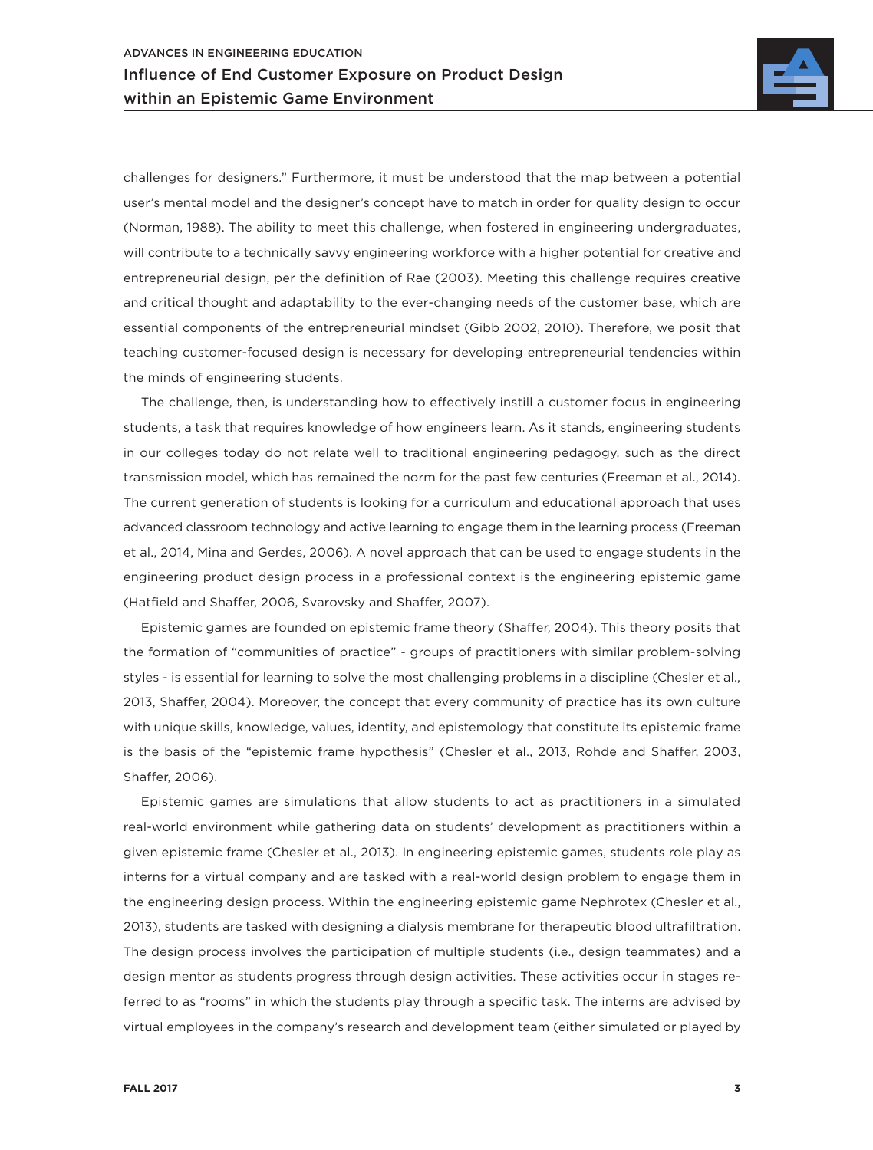

challenges for designers." Furthermore, it must be understood that the map between a potential user's mental model and the designer's concept have to match in order for quality design to occur (Norman, 1988). The ability to meet this challenge, when fostered in engineering undergraduates, will contribute to a technically savvy engineering workforce with a higher potential for creative and entrepreneurial design, per the definition of Rae (2003). Meeting this challenge requires creative and critical thought and adaptability to the ever-changing needs of the customer base, which are essential components of the entrepreneurial mindset (Gibb 2002, 2010). Therefore, we posit that teaching customer-focused design is necessary for developing entrepreneurial tendencies within the minds of engineering students.

The challenge, then, is understanding how to effectively instill a customer focus in engineering students, a task that requires knowledge of how engineers learn. As it stands, engineering students in our colleges today do not relate well to traditional engineering pedagogy, such as the direct transmission model, which has remained the norm for the past few centuries (Freeman et al., 2014). The current generation of students is looking for a curriculum and educational approach that uses advanced classroom technology and active learning to engage them in the learning process (Freeman et al., 2014, Mina and Gerdes, 2006). A novel approach that can be used to engage students in the engineering product design process in a professional context is the engineering epistemic game (Hatfield and Shaffer, 2006, Svarovsky and Shaffer, 2007).

Epistemic games are founded on epistemic frame theory (Shaffer, 2004). This theory posits that the formation of "communities of practice" - groups of practitioners with similar problem-solving styles - is essential for learning to solve the most challenging problems in a discipline (Chesler et al., 2013, Shaffer, 2004). Moreover, the concept that every community of practice has its own culture with unique skills, knowledge, values, identity, and epistemology that constitute its epistemic frame is the basis of the "epistemic frame hypothesis" (Chesler et al., 2013, Rohde and Shaffer, 2003, Shaffer, 2006).

Epistemic games are simulations that allow students to act as practitioners in a simulated real-world environment while gathering data on students' development as practitioners within a given epistemic frame (Chesler et al., 2013). In engineering epistemic games, students role play as interns for a virtual company and are tasked with a real-world design problem to engage them in the engineering design process. Within the engineering epistemic game Nephrotex (Chesler et al., 2013), students are tasked with designing a dialysis membrane for therapeutic blood ultrafiltration. The design process involves the participation of multiple students (i.e., design teammates) and a design mentor as students progress through design activities. These activities occur in stages referred to as "rooms" in which the students play through a specific task. The interns are advised by virtual employees in the company's research and development team (either simulated or played by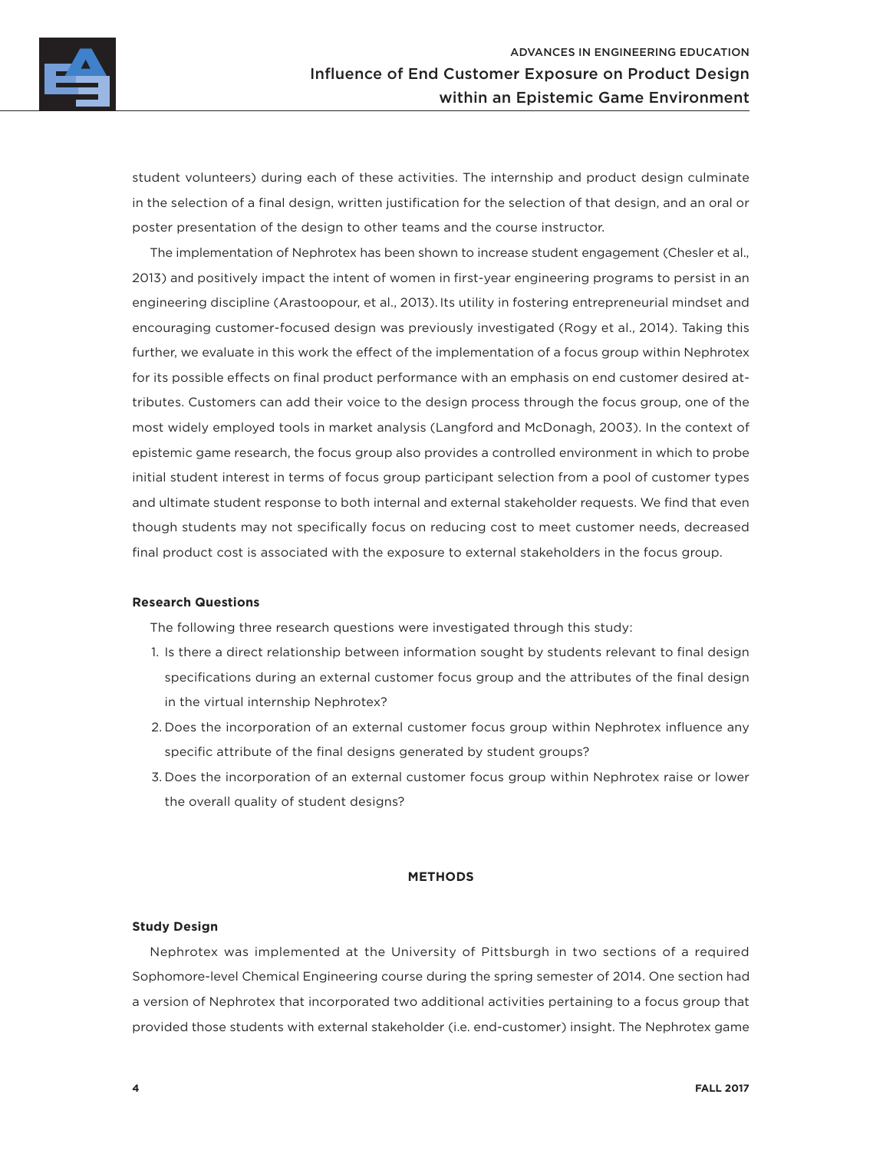

student volunteers) during each of these activities. The internship and product design culminate in the selection of a final design, written justification for the selection of that design, and an oral or poster presentation of the design to other teams and the course instructor.

The implementation of Nephrotex has been shown to increase student engagement (Chesler et al., 2013) and positively impact the intent of women in first-year engineering programs to persist in an engineering discipline (Arastoopour, et al., 2013). Its utility in fostering entrepreneurial mindset and encouraging customer-focused design was previously investigated (Rogy et al., 2014). Taking this further, we evaluate in this work the effect of the implementation of a focus group within Nephrotex for its possible effects on final product performance with an emphasis on end customer desired attributes. Customers can add their voice to the design process through the focus group, one of the most widely employed tools in market analysis (Langford and McDonagh, 2003). In the context of epistemic game research, the focus group also provides a controlled environment in which to probe initial student interest in terms of focus group participant selection from a pool of customer types and ultimate student response to both internal and external stakeholder requests. We find that even though students may not specifically focus on reducing cost to meet customer needs, decreased final product cost is associated with the exposure to external stakeholders in the focus group.

#### **Research Questions**

The following three research questions were investigated through this study:

- 1. Is there a direct relationship between information sought by students relevant to final design specifications during an external customer focus group and the attributes of the final design in the virtual internship Nephrotex?
- 2. Does the incorporation of an external customer focus group within Nephrotex influence any specific attribute of the final designs generated by student groups?
- 3. Does the incorporation of an external customer focus group within Nephrotex raise or lower the overall quality of student designs?

#### **METHODS**

#### **Study Design**

Nephrotex was implemented at the University of Pittsburgh in two sections of a required Sophomore-level Chemical Engineering course during the spring semester of 2014. One section had a version of Nephrotex that incorporated two additional activities pertaining to a focus group that provided those students with external stakeholder (i.e. end-customer) insight. The Nephrotex game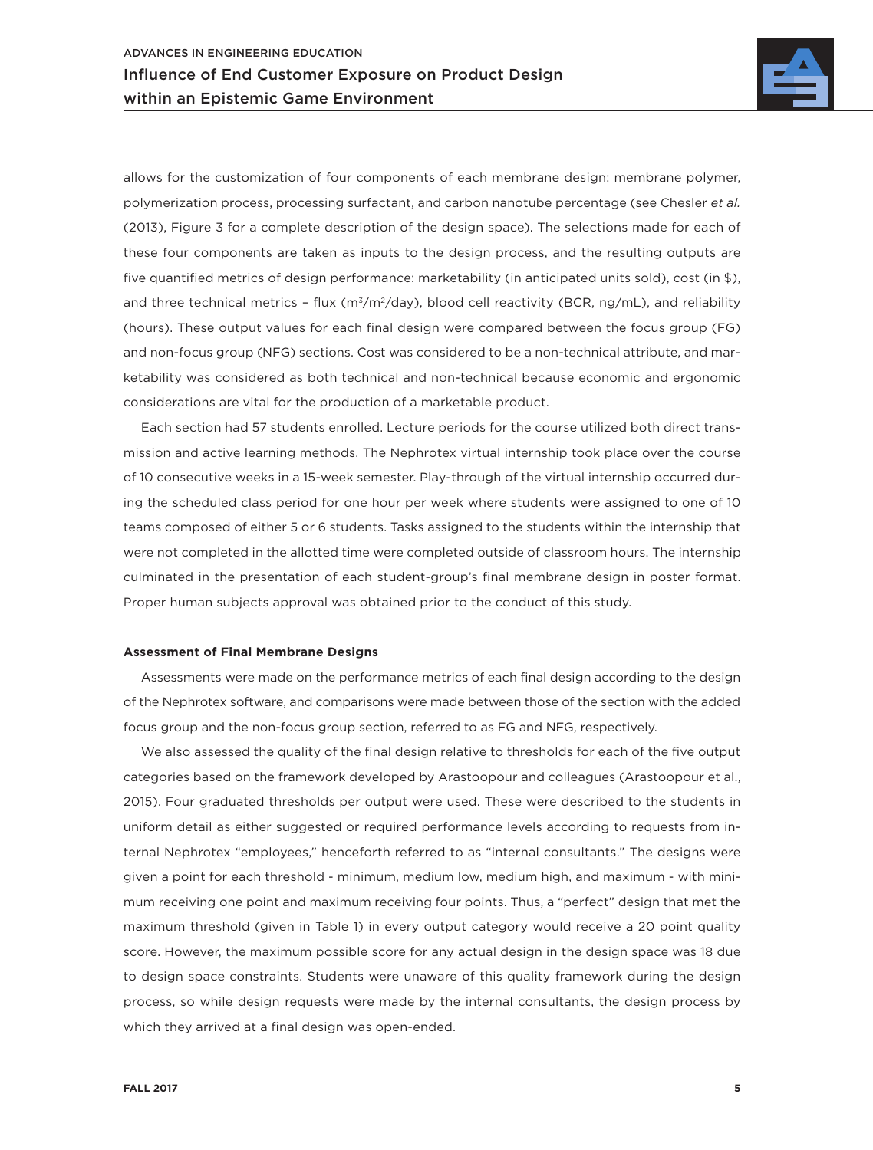

allows for the customization of four components of each membrane design: membrane polymer, polymerization process, processing surfactant, and carbon nanotube percentage (see Chesler *et al.*  (2013), Figure 3 for a complete description of the design space). The selections made for each of these four components are taken as inputs to the design process, and the resulting outputs are five quantified metrics of design performance: marketability (in anticipated units sold), cost (in \$), and three technical metrics - flux ( $m^3/m^2$ /day), blood cell reactivity (BCR, ng/mL), and reliability (hours). These output values for each final design were compared between the focus group (FG) and non-focus group (NFG) sections. Cost was considered to be a non-technical attribute, and marketability was considered as both technical and non-technical because economic and ergonomic considerations are vital for the production of a marketable product.

Each section had 57 students enrolled. Lecture periods for the course utilized both direct transmission and active learning methods. The Nephrotex virtual internship took place over the course of 10 consecutive weeks in a 15-week semester. Play-through of the virtual internship occurred during the scheduled class period for one hour per week where students were assigned to one of 10 teams composed of either 5 or 6 students. Tasks assigned to the students within the internship that were not completed in the allotted time were completed outside of classroom hours. The internship culminated in the presentation of each student-group's final membrane design in poster format. Proper human subjects approval was obtained prior to the conduct of this study.

#### **Assessment of Final Membrane Designs**

Assessments were made on the performance metrics of each final design according to the design of the Nephrotex software, and comparisons were made between those of the section with the added focus group and the non-focus group section, referred to as FG and NFG, respectively.

We also assessed the quality of the final design relative to thresholds for each of the five output categories based on the framework developed by Arastoopour and colleagues (Arastoopour et al., 2015). Four graduated thresholds per output were used. These were described to the students in uniform detail as either suggested or required performance levels according to requests from internal Nephrotex "employees," henceforth referred to as "internal consultants." The designs were given a point for each threshold - minimum, medium low, medium high, and maximum - with minimum receiving one point and maximum receiving four points. Thus, a "perfect" design that met the maximum threshold (given in Table 1) in every output category would receive a 20 point quality score. However, the maximum possible score for any actual design in the design space was 18 due to design space constraints. Students were unaware of this quality framework during the design process, so while design requests were made by the internal consultants, the design process by which they arrived at a final design was open-ended.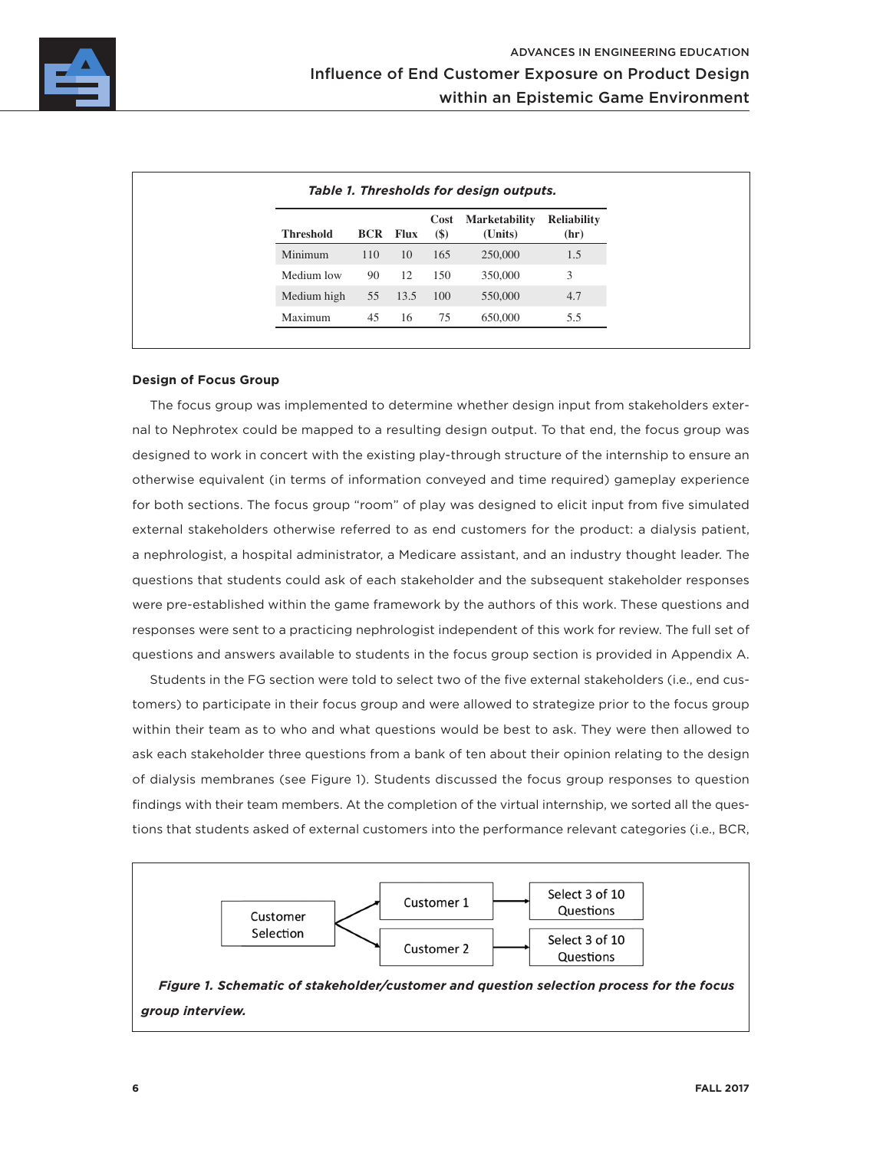

| <b>Threshold</b> |     | <b>BCR</b> Flux | Cost<br>$\left( \text{\$}\right)$ | <b>Marketability</b><br>(Units) | <b>Reliability</b><br>(hr) |
|------------------|-----|-----------------|-----------------------------------|---------------------------------|----------------------------|
| Minimum          | 110 | 10              | 165                               | 250,000                         | 1.5                        |
| Medium low       | 90  | 12              | 150                               | 350,000                         | 3                          |
| Medium high      | 55  | 13.5            | 100                               | 550,000                         | 4.7                        |
| Maximum          | 45  | 16              | 75                                | 650,000                         | 5.5                        |

#### **Design of Focus Group**

The focus group was implemented to determine whether design input from stakeholders external to Nephrotex could be mapped to a resulting design output. To that end, the focus group was designed to work in concert with the existing play-through structure of the internship to ensure an otherwise equivalent (in terms of information conveyed and time required) gameplay experience for both sections. The focus group "room" of play was designed to elicit input from five simulated external stakeholders otherwise referred to as end customers for the product: a dialysis patient, a nephrologist, a hospital administrator, a Medicare assistant, and an industry thought leader. The questions that students could ask of each stakeholder and the subsequent stakeholder responses were pre-established within the game framework by the authors of this work. These questions and responses were sent to a practicing nephrologist independent of this work for review. The full set of questions and answers available to students in the focus group section is provided in Appendix A.

Students in the FG section were told to select two of the five external stakeholders (i.e., end customers) to participate in their focus group and were allowed to strategize prior to the focus group within their team as to who and what questions would be best to ask. They were then allowed to ask each stakeholder three questions from a bank of ten about their opinion relating to the design of dialysis membranes (see Figure 1). Students discussed the focus group responses to question findings with their team members. At the completion of the virtual internship, we sorted all the questions that students asked of external customers into the performance relevant categories (i.e., BCR,

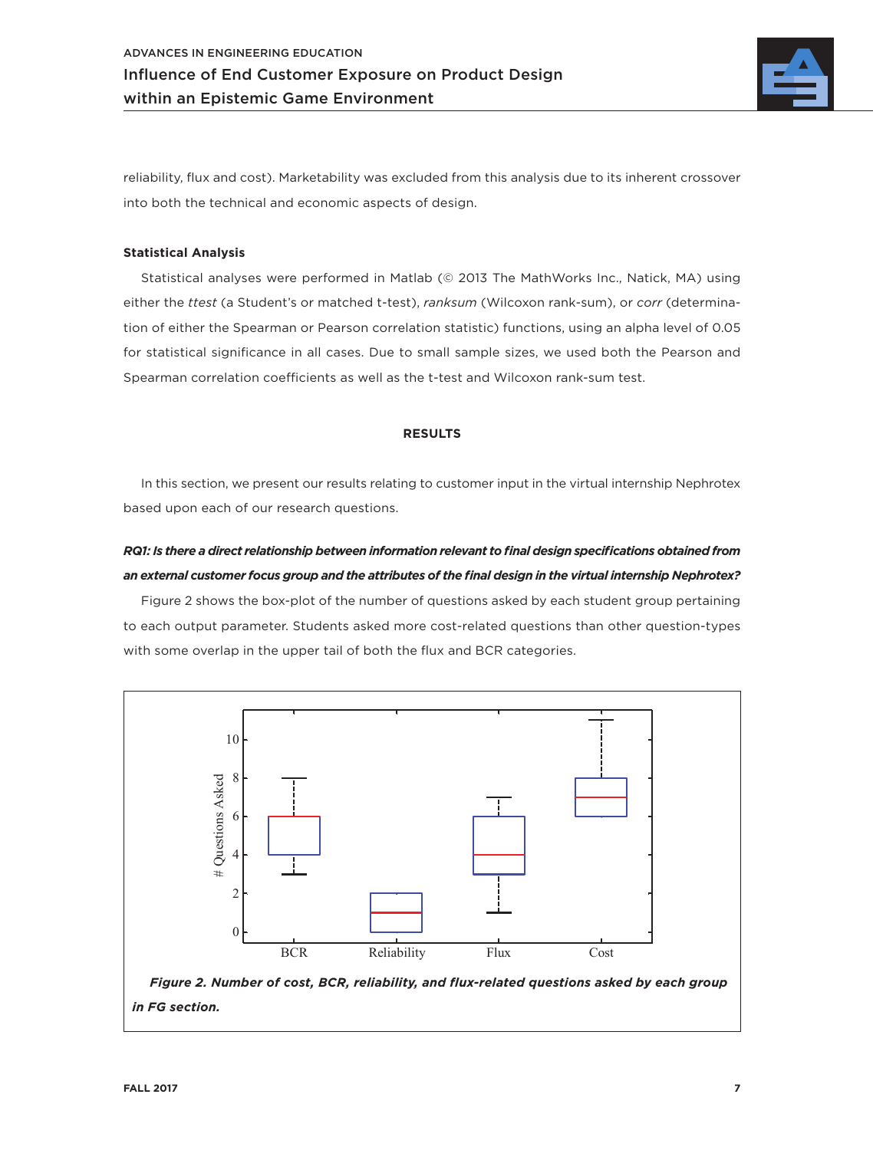

reliability, flux and cost). Marketability was excluded from this analysis due to its inherent crossover into both the technical and economic aspects of design.

#### **Statistical Analysis**

Statistical analyses were performed in Matlab (© 2013 The MathWorks Inc., Natick, MA) using either the *ttest* (a Student's or matched t-test), *ranksum* (Wilcoxon rank-sum), or *corr* (determination of either the Spearman or Pearson correlation statistic) functions, using an alpha level of 0.05 for statistical significance in all cases. Due to small sample sizes, we used both the Pearson and Spearman correlation coefficients as well as the t-test and Wilcoxon rank-sum test.

#### **RESULTS**

In this section, we present our results relating to customer input in the virtual internship Nephrotex based upon each of our research questions.

## *RQ1: Is there a direct relationship between information relevant to final design specifications obtained from an external customer focus group and the attributes of the final design in the virtual internship Nephrotex?*

Figure 2 shows the box-plot of the number of questions asked by each student group pertaining to each output parameter. Students asked more cost-related questions than other question-types with some overlap in the upper tail of both the flux and BCR categories.

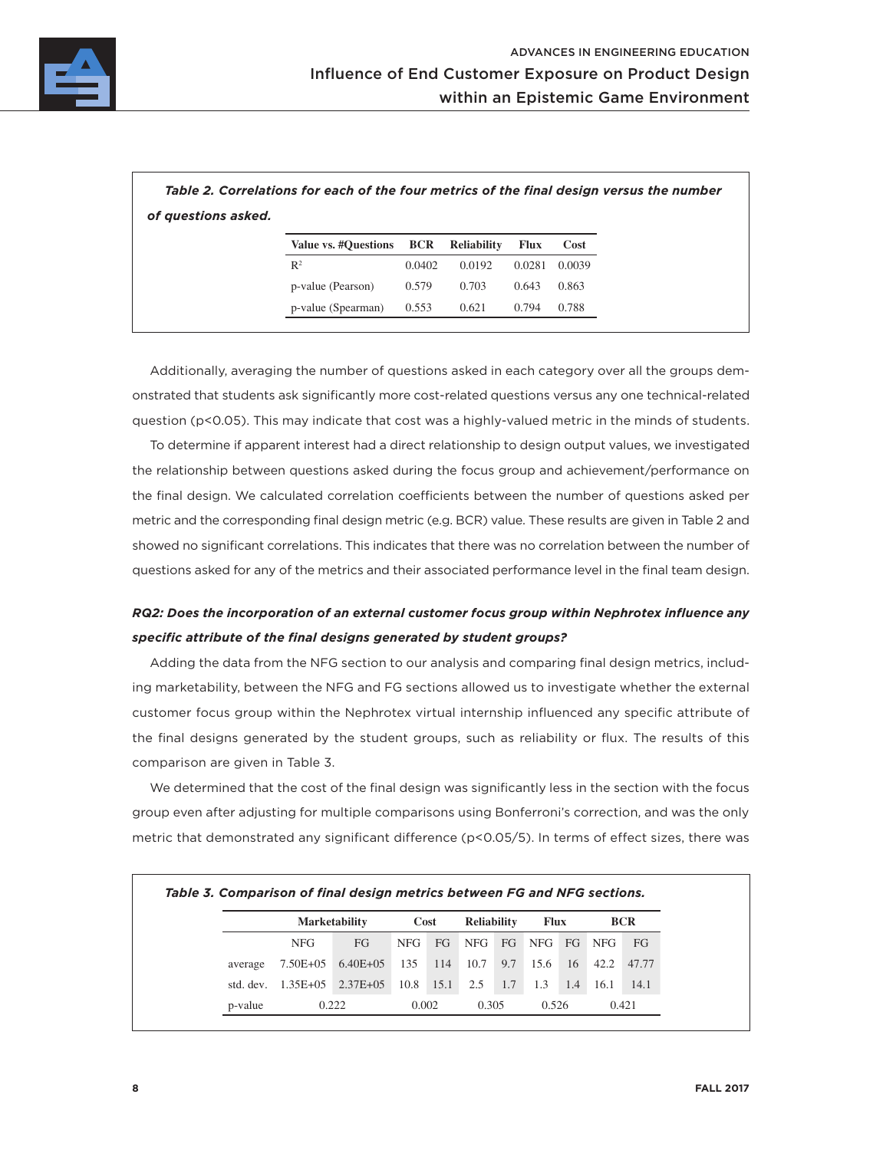

|                     |                                                |  |  | Table 2. Correlations for each of the four metrics of the final design versus the number |
|---------------------|------------------------------------------------|--|--|------------------------------------------------------------------------------------------|
| of questions asked. |                                                |  |  |                                                                                          |
|                     | Value vs. #Questions BCR Reliability Flux Cost |  |  |                                                                                          |

| value vs. #Ouestions BCR Reliability |        |        | - FIUX | – COSL |
|--------------------------------------|--------|--------|--------|--------|
| $\mathbb{R}^2$                       | 0.0402 | 0.0192 | 0.0281 | 0.0039 |
| p-value (Pearson)                    | 0.579  | 0.703  | 0.643  | 0.863  |
| p-value (Spearman)                   | 0.553  | 0.621  | 0.794  | 0.788  |

Additionally, averaging the number of questions asked in each category over all the groups demonstrated that students ask significantly more cost-related questions versus any one technical-related question (p<0.05). This may indicate that cost was a highly-valued metric in the minds of students.

To determine if apparent interest had a direct relationship to design output values, we investigated the relationship between questions asked during the focus group and achievement/performance on the final design. We calculated correlation coefficients between the number of questions asked per metric and the corresponding final design metric (e.g. BCR) value. These results are given in Table 2 and showed no significant correlations. This indicates that there was no correlation between the number of questions asked for any of the metrics and their associated performance level in the final team design.

## *RQ2: Does the incorporation of an external customer focus group within Nephrotex influence any specific attribute of the final designs generated by student groups?*

Adding the data from the NFG section to our analysis and comparing final design metrics, including marketability, between the NFG and FG sections allowed us to investigate whether the external customer focus group within the Nephrotex virtual internship influenced any specific attribute of the final designs generated by the student groups, such as reliability or flux. The results of this comparison are given in Table 3.

We determined that the cost of the final design was significantly less in the section with the focus group even after adjusting for multiple comparisons using Bonferroni's correction, and was the only metric that demonstrated any significant difference (p<0.05/5). In terms of effect sizes, there was

|           | <b>Marketability</b> |               | Cost |       | <b>Reliability</b> |       | <b>Flux</b> |       | <b>BCR</b> |       |  |
|-----------|----------------------|---------------|------|-------|--------------------|-------|-------------|-------|------------|-------|--|
|           | <b>NFG</b>           | FG.           | NFG. | FG    | NFG                | FG    | NFG         | FG    | NFG.       | FG    |  |
| average   | 7.50E+05             | $6.40E + 05$  | 135  | 114   | 10.7               | 9.7   | 15.6        | 16    | 42.2       | 47.77 |  |
| std. dev. | $1.35E + 0.5$        | $2.37E + 0.5$ | 10.8 | 15.1  | 2.5                | 1.7   | 1.3         | 1.4   | 16.1       | 14.1  |  |
| p-value   |                      | 0.222         |      | 0.002 |                    | 0.305 |             | 0.526 |            | 0.421 |  |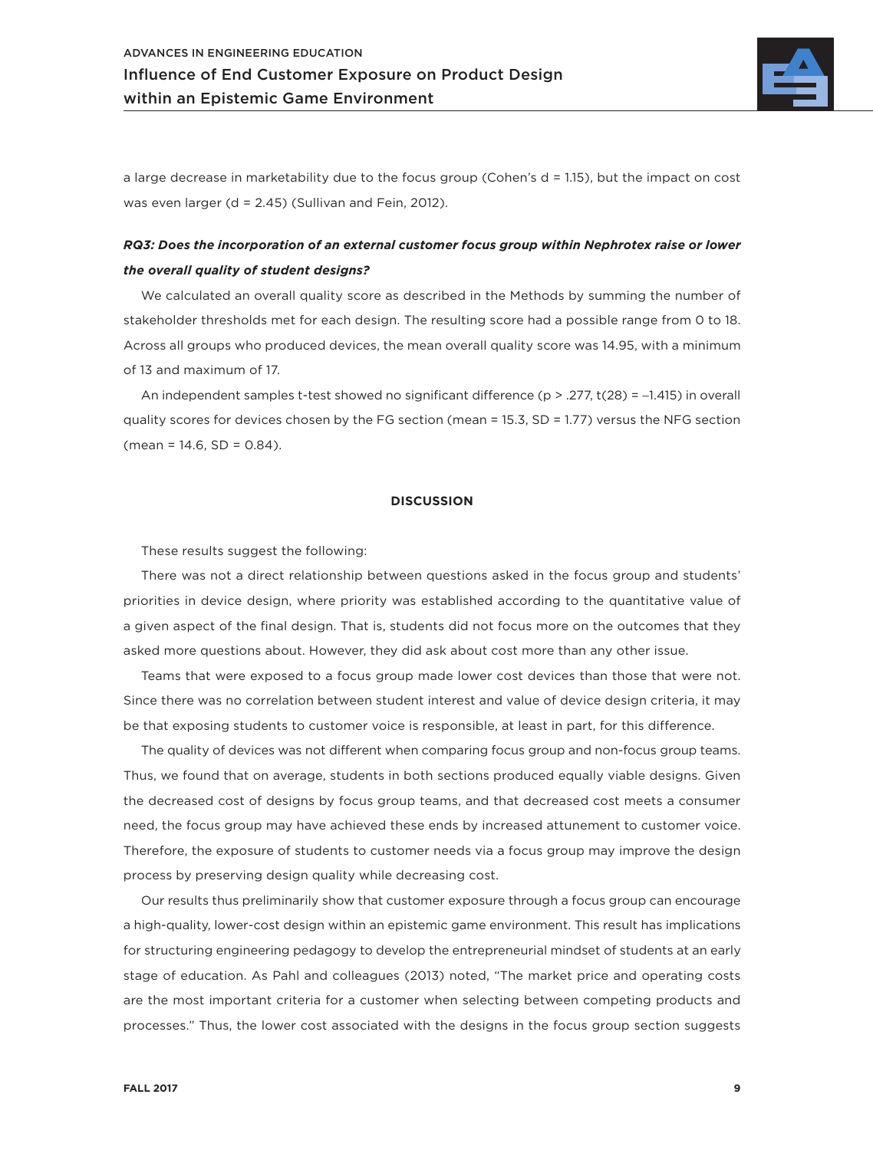

a large decrease in marketability due to the focus group (Cohen's d = 1.15), but the impact on cost was even larger (d = 2.45) (Sullivan and Fein, 2012).

### *RQ3: Does the incorporation of an external customer focus group within Nephrotex raise or lower the overall quality of student designs?*

We calculated an overall quality score as described in the Methods by summing the number of stakeholder thresholds met for each design. The resulting score had a possible range from 0 to 18. Across all groups who produced devices, the mean overall quality score was 14.95, with a minimum of 13 and maximum of 17.

An independent samples t-test showed no significant difference ( $p > 0.277$ , t( $28$ ) = -1.415) in overall quality scores for devices chosen by the FG section (mean = 15.3, SD = 1.77) versus the NFG section  $(mean = 14.6, SD = 0.84)$ .

#### **DISCUSSION**

These results suggest the following:

There was not a direct relationship between questions asked in the focus group and students' priorities in device design, where priority was established according to the quantitative value of a given aspect of the final design. That is, students did not focus more on the outcomes that they asked more questions about. However, they did ask about cost more than any other issue.

Teams that were exposed to a focus group made lower cost devices than those that were not. Since there was no correlation between student interest and value of device design criteria, it may be that exposing students to customer voice is responsible, at least in part, for this difference.

The quality of devices was not different when comparing focus group and non-focus group teams. Thus, we found that on average, students in both sections produced equally viable designs. Given the decreased cost of designs by focus group teams, and that decreased cost meets a consumer need, the focus group may have achieved these ends by increased attunement to customer voice. Therefore, the exposure of students to customer needs via a focus group may improve the design process by preserving design quality while decreasing cost.

Our results thus preliminarily show that customer exposure through a focus group can encourage a high-quality, lower-cost design within an epistemic game environment. This result has implications for structuring engineering pedagogy to develop the entrepreneurial mindset of students at an early stage of education. As Pahl and colleagues (2013) noted, "The market price and operating costs are the most important criteria for a customer when selecting between competing products and processes." Thus, the lower cost associated with the designs in the focus group section suggests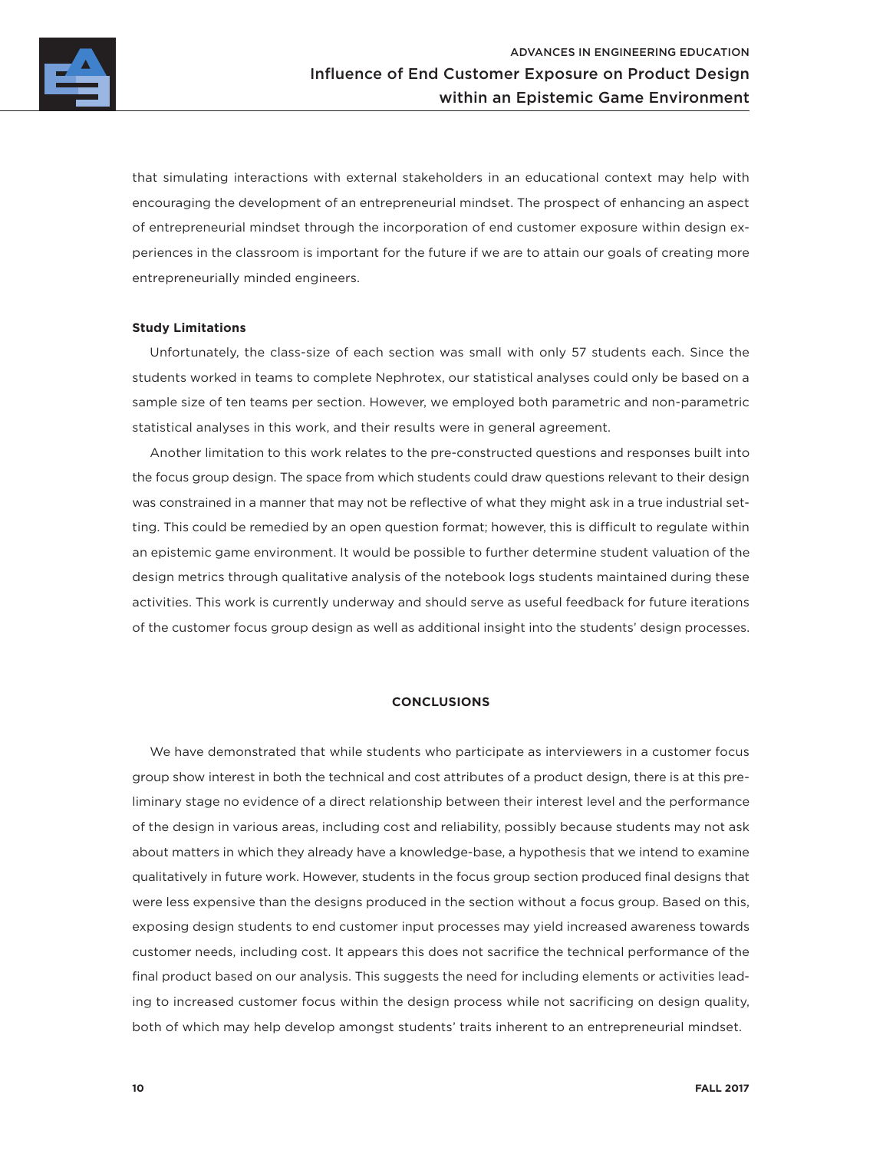

that simulating interactions with external stakeholders in an educational context may help with encouraging the development of an entrepreneurial mindset. The prospect of enhancing an aspect of entrepreneurial mindset through the incorporation of end customer exposure within design experiences in the classroom is important for the future if we are to attain our goals of creating more entrepreneurially minded engineers.

#### **Study Limitations**

Unfortunately, the class-size of each section was small with only 57 students each. Since the students worked in teams to complete Nephrotex, our statistical analyses could only be based on a sample size of ten teams per section. However, we employed both parametric and non-parametric statistical analyses in this work, and their results were in general agreement.

Another limitation to this work relates to the pre-constructed questions and responses built into the focus group design. The space from which students could draw questions relevant to their design was constrained in a manner that may not be reflective of what they might ask in a true industrial setting. This could be remedied by an open question format; however, this is difficult to regulate within an epistemic game environment. It would be possible to further determine student valuation of the design metrics through qualitative analysis of the notebook logs students maintained during these activities. This work is currently underway and should serve as useful feedback for future iterations of the customer focus group design as well as additional insight into the students' design processes.

#### **CONCLUSIONS**

We have demonstrated that while students who participate as interviewers in a customer focus group show interest in both the technical and cost attributes of a product design, there is at this preliminary stage no evidence of a direct relationship between their interest level and the performance of the design in various areas, including cost and reliability, possibly because students may not ask about matters in which they already have a knowledge-base, a hypothesis that we intend to examine qualitatively in future work. However, students in the focus group section produced final designs that were less expensive than the designs produced in the section without a focus group. Based on this, exposing design students to end customer input processes may yield increased awareness towards customer needs, including cost. It appears this does not sacrifice the technical performance of the final product based on our analysis. This suggests the need for including elements or activities leading to increased customer focus within the design process while not sacrificing on design quality, both of which may help develop amongst students' traits inherent to an entrepreneurial mindset.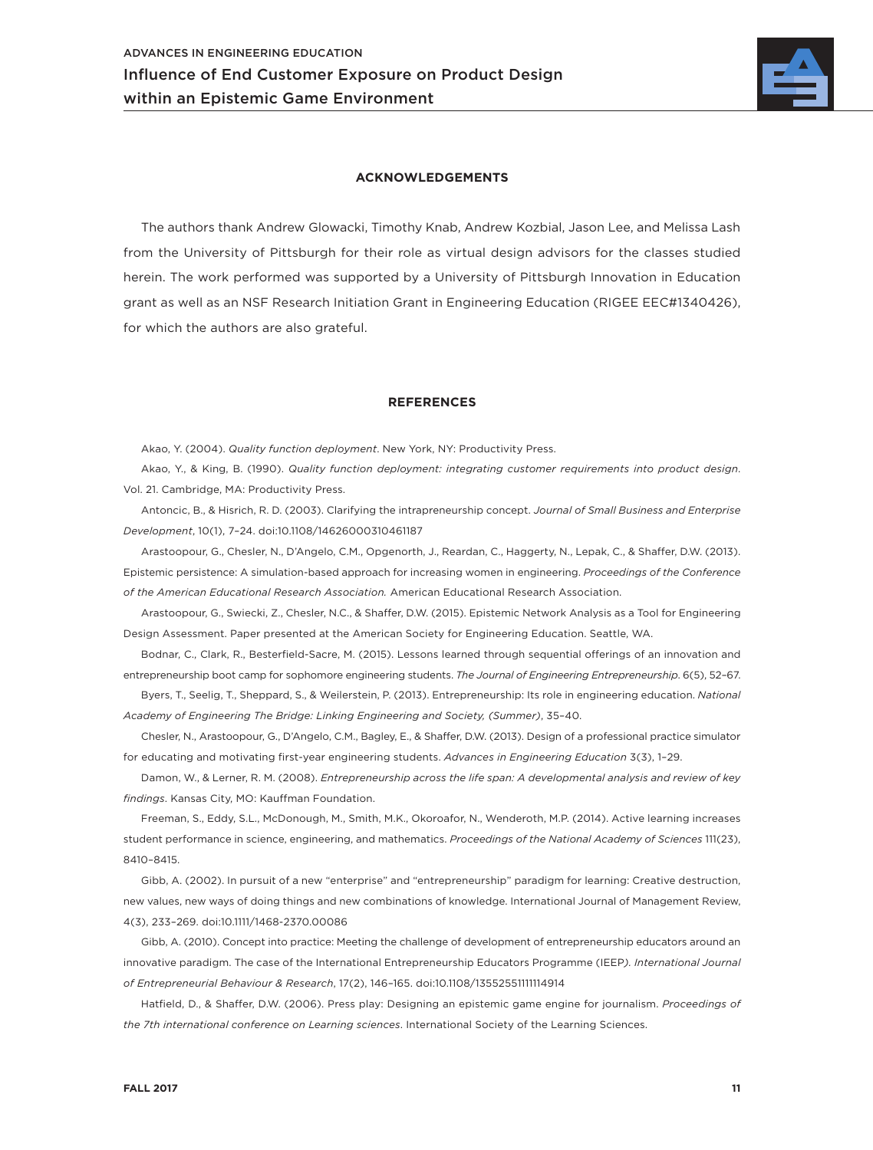

#### **ACKNOWLEDGEMENTS**

The authors thank Andrew Glowacki, Timothy Knab, Andrew Kozbial, Jason Lee, and Melissa Lash from the University of Pittsburgh for their role as virtual design advisors for the classes studied herein. The work performed was supported by a University of Pittsburgh Innovation in Education grant as well as an NSF Research Initiation Grant in Engineering Education (RIGEE EEC#1340426), for which the authors are also grateful.

#### **REFERENCES**

Akao, Y. (2004). *Quality function deployment*. New York, NY: Productivity Press.

Akao, Y., & King, B. (1990). *Quality function deployment: integrating customer requirements into product design*. Vol. 21. Cambridge, MA: Productivity Press.

Antoncic, B., & Hisrich, R. D. (2003). Clarifying the intrapreneurship concept. *Journal of Small Business and Enterprise Development*, 10(1), 7–24. doi:10.1108/14626000310461187

Arastoopour, G., Chesler, N., D'Angelo, C.M., Opgenorth, J., Reardan, C., Haggerty, N., Lepak, C., & Shaffer, D.W. (2013). Epistemic persistence: A simulation-based approach for increasing women in engineering. *Proceedings of the Conference of the American Educational Research Association.* American Educational Research Association.

Arastoopour, G., Swiecki, Z., Chesler, N.C., & Shaffer, D.W. (2015). Epistemic Network Analysis as a Tool for Engineering Design Assessment. Paper presented at the American Society for Engineering Education. Seattle, WA.

Bodnar, C., Clark, R., Besterfield-Sacre, M. (2015). Lessons learned through sequential offerings of an innovation and entrepreneurship boot camp for sophomore engineering students. *The Journal of Engineering Entrepreneurship*. 6(5), 52–67.

Byers, T., Seelig, T., Sheppard, S., & Weilerstein, P. (2013). Entrepreneurship: Its role in engineering education. *National Academy of Engineering The Bridge: Linking Engineering and Society, (Summer)*, 35–40.

Chesler, N., Arastoopour, G., D'Angelo, C.M., Bagley, E., & Shaffer, D.W. (2013). Design of a professional practice simulator for educating and motivating first-year engineering students. *Advances in Engineering Education* 3(3), 1–29.

Damon, W., & Lerner, R. M. (2008). *Entrepreneurship across the life span: A developmental analysis and review of key findings*. Kansas City, MO: Kauffman Foundation.

Freeman, S., Eddy, S.L., McDonough, M., Smith, M.K., Okoroafor, N., Wenderoth, M.P. (2014). Active learning increases student performance in science, engineering, and mathematics. *Proceedings of the National Academy of Sciences* 111(23), 8410–8415.

Gibb, A. (2002). In pursuit of a new "enterprise" and "entrepreneurship" paradigm for learning: Creative destruction, new values, new ways of doing things and new combinations of knowledge. International Journal of Management Review, 4(3), 233–269. doi:10.1111/1468-2370.00086

Gibb, A. (2010). Concept into practice: Meeting the challenge of development of entrepreneurship educators around an innovative paradigm. The case of the International Entrepreneurship Educators Programme (IEEP*). International Journal of Entrepreneurial Behaviour & Research*, 17(2), 146–165. doi:10.1108/13552551111114914

Hatfield, D., & Shaffer, D.W. (2006). Press play: Designing an epistemic game engine for journalism. *Proceedings of the 7th international conference on Learning sciences*. International Society of the Learning Sciences.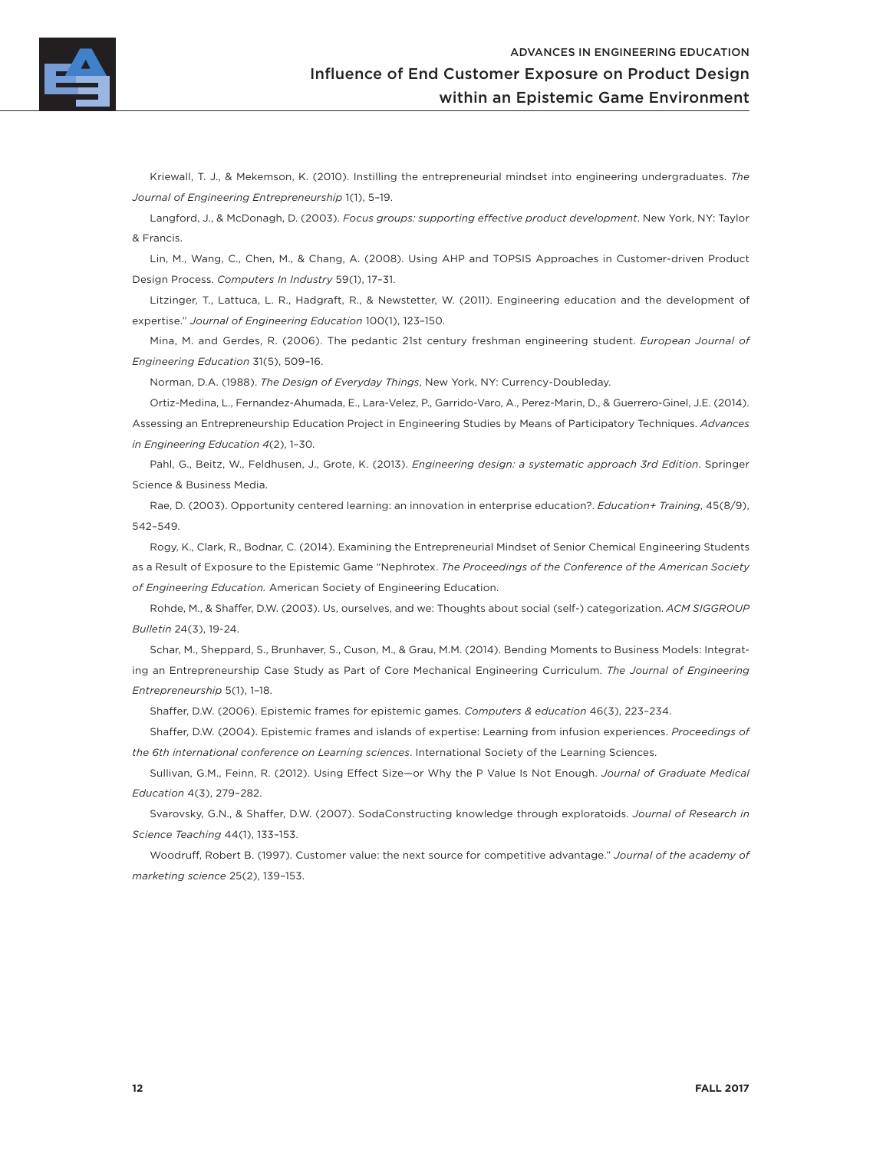

Kriewall, T. J., & Mekemson, K. (2010). Instilling the entrepreneurial mindset into engineering undergraduates. *The Journal of Engineering Entrepreneurship* 1(1), 5–19.

Langford, J., & McDonagh, D. (2003). *Focus groups: supporting effective product development*. New York, NY: Taylor & Francis.

Lin, M., Wang, C., Chen, M., & Chang, A. (2008). Using AHP and TOPSIS Approaches in Customer-driven Product Design Process. *Computers In Industry* 59(1), 17–31.

Litzinger, T., Lattuca, L. R., Hadgraft, R., & Newstetter, W. (2011). Engineering education and the development of expertise." *Journal of Engineering Education* 100(1), 123–150.

Mina, M. and Gerdes, R. (2006). The pedantic 21st century freshman engineering student. *European Journal of Engineering Education* 31(5), 509–16.

Norman, D.A. (1988). *The Design of Everyday Things*, New York, NY: Currency-Doubleday.

Ortiz-Medina, L., Fernandez-Ahumada, E., Lara-Velez, P., Garrido-Varo, A., Perez-Marin, D., & Guerrero-Ginel, J.E. (2014). Assessing an Entrepreneurship Education Project in Engineering Studies by Means of Participatory Techniques. *Advances in Engineering Education 4*(2), 1–30.

Pahl, G., Beitz, W., Feldhusen, J., Grote, K. (2013). *Engineering design: a systematic approach 3rd Edition*. Springer Science & Business Media.

Rae, D. (2003). Opportunity centered learning: an innovation in enterprise education?. *Education+ Training*, 45(8/9), 542–549.

Rogy, K., Clark, R., Bodnar, C. (2014). Examining the Entrepreneurial Mindset of Senior Chemical Engineering Students as a Result of Exposure to the Epistemic Game "Nephrotex. *The Proceedings of the Conference of the American Society of Engineering Education.* American Society of Engineering Education.

Rohde, M., & Shaffer, D.W. (2003). Us, ourselves, and we: Thoughts about social (self-) categorization. *ACM SIGGROUP Bulletin* 24(3), 19-24.

Schar, M., Sheppard, S., Brunhaver, S., Cuson, M., & Grau, M.M. (2014). Bending Moments to Business Models: Integrating an Entrepreneurship Case Study as Part of Core Mechanical Engineering Curriculum. *The Journal of Engineering Entrepreneurship* 5(1), 1–18.

Shaffer, D.W. (2006). Epistemic frames for epistemic games. *Computers & education* 46(3), 223–234.

Shaffer, D.W. (2004). Epistemic frames and islands of expertise: Learning from infusion experiences. *Proceedings of the 6th international conference on Learning sciences*. International Society of the Learning Sciences.

Sullivan, G.M., Feinn, R. (2012). Using Effect Size—or Why the P Value Is Not Enough. *Journal of Graduate Medical Education* 4(3), 279–282.

Svarovsky, G.N., & Shaffer, D.W. (2007). SodaConstructing knowledge through exploratoids. *Journal of Research in Science Teaching* 44(1), 133–153.

Woodruff, Robert B. (1997). Customer value: the next source for competitive advantage." *Journal of the academy of marketing science* 25(2), 139–153.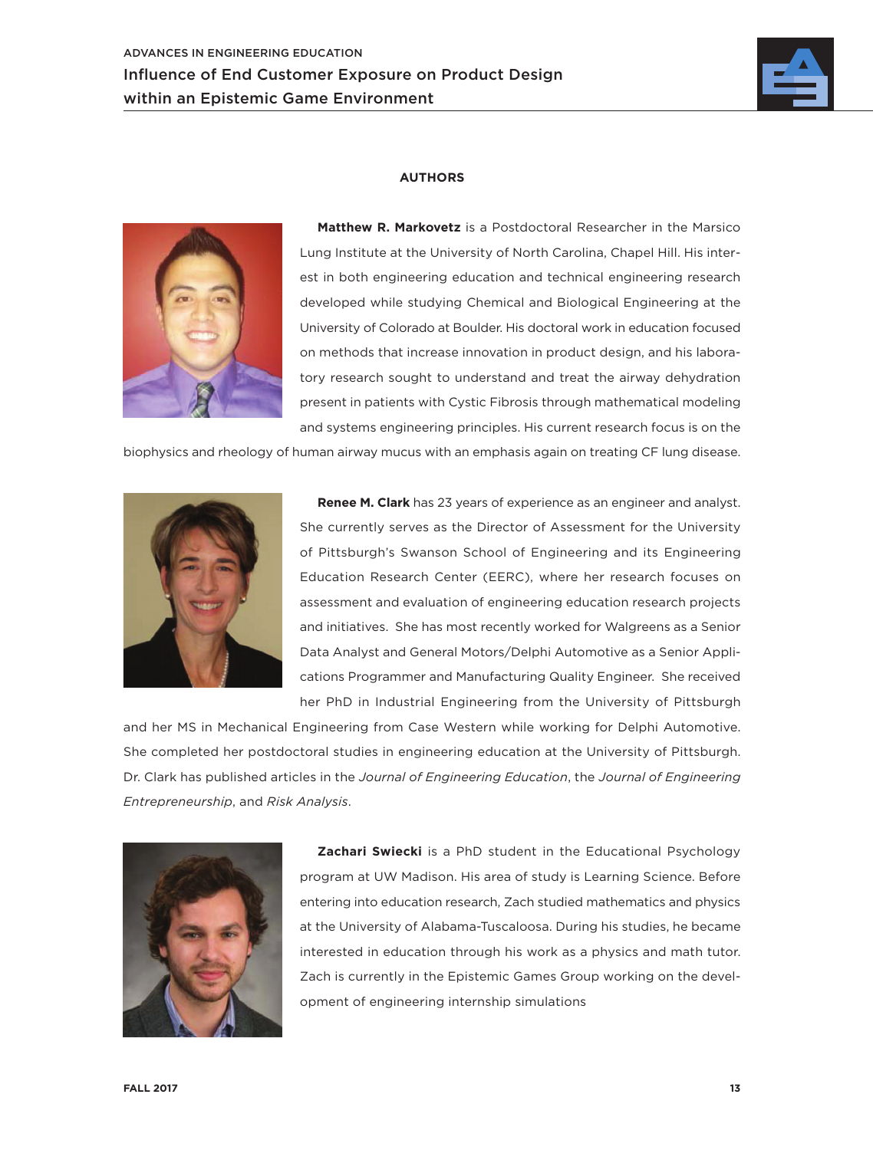

#### **AUTHORS**



**Matthew R. Markovetz** is a Postdoctoral Researcher in the Marsico Lung Institute at the University of North Carolina, Chapel Hill. His interest in both engineering education and technical engineering research developed while studying Chemical and Biological Engineering at the University of Colorado at Boulder. His doctoral work in education focused on methods that increase innovation in product design, and his laboratory research sought to understand and treat the airway dehydration present in patients with Cystic Fibrosis through mathematical modeling and systems engineering principles. His current research focus is on the

biophysics and rheology of human airway mucus with an emphasis again on treating CF lung disease.



**Renee M. Clark** has 23 years of experience as an engineer and analyst. She currently serves as the Director of Assessment for the University of Pittsburgh's Swanson School of Engineering and its Engineering Education Research Center (EERC), where her research focuses on assessment and evaluation of engineering education research projects and initiatives. She has most recently worked for Walgreens as a Senior Data Analyst and General Motors/Delphi Automotive as a Senior Applications Programmer and Manufacturing Quality Engineer. She received her PhD in Industrial Engineering from the University of Pittsburgh

and her MS in Mechanical Engineering from Case Western while working for Delphi Automotive. She completed her postdoctoral studies in engineering education at the University of Pittsburgh. Dr. Clark has published articles in the *Journal of Engineering Education*, the *Journal of Engineering Entrepreneurship*, and *Risk Analysis*.



**Zachari Swiecki** is a PhD student in the Educational Psychology program at UW Madison. His area of study is Learning Science. Before entering into education research, Zach studied mathematics and physics at the University of Alabama-Tuscaloosa. During his studies, he became interested in education through his work as a physics and math tutor. Zach is currently in the Epistemic Games Group working on the development of engineering internship simulations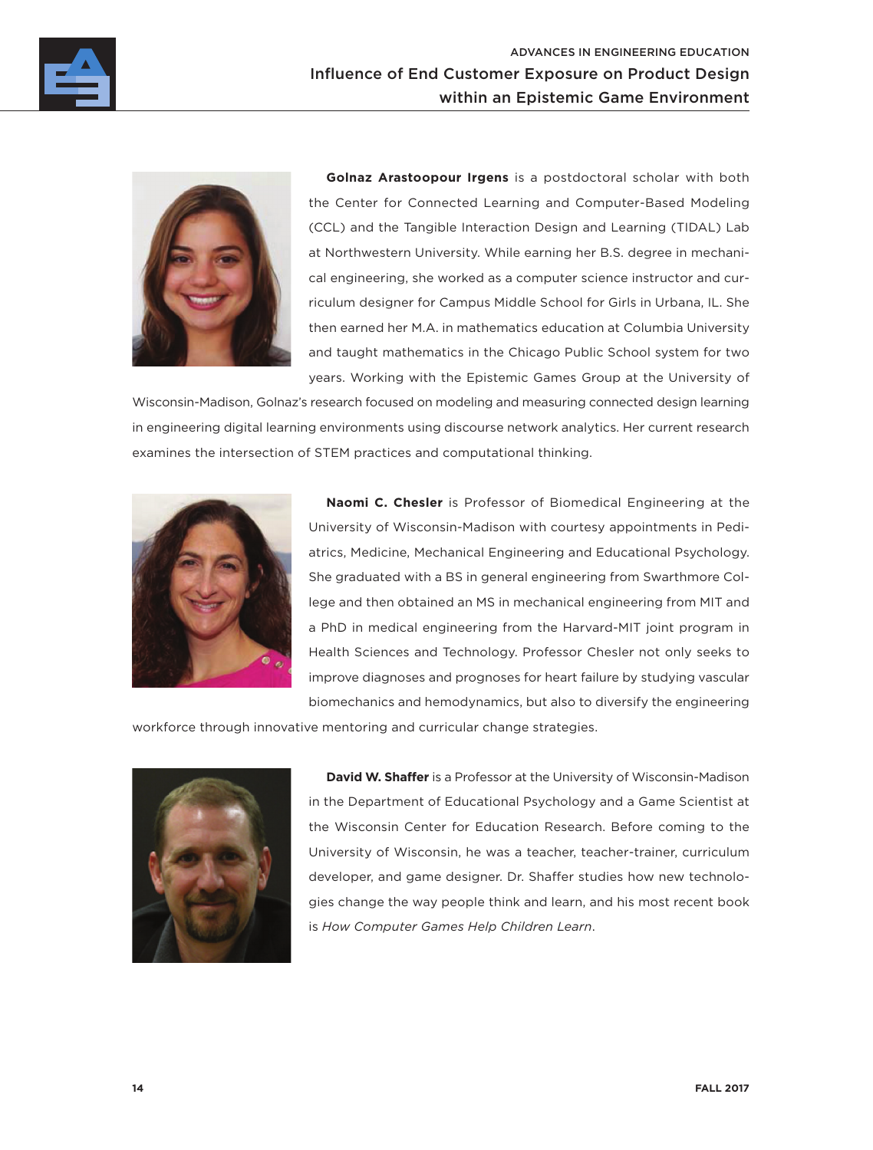



**Golnaz Arastoopour Irgens** is a postdoctoral scholar with both the Center for Connected Learning and Computer-Based Modeling (CCL) and the Tangible Interaction Design and Learning (TIDAL) Lab at Northwestern University. While earning her B.S. degree in mechanical engineering, she worked as a computer science instructor and curriculum designer for Campus Middle School for Girls in Urbana, IL. She then earned her M.A. in mathematics education at Columbia University and taught mathematics in the Chicago Public School system for two years. Working with the Epistemic Games Group at the University of

Wisconsin-Madison, Golnaz's research focused on modeling and measuring connected design learning in engineering digital learning environments using discourse network analytics. Her current research examines the intersection of STEM practices and computational thinking.



**Naomi C. Chesler** is Professor of Biomedical Engineering at the University of Wisconsin-Madison with courtesy appointments in Pediatrics, Medicine, Mechanical Engineering and Educational Psychology. She graduated with a BS in general engineering from Swarthmore College and then obtained an MS in mechanical engineering from MIT and a PhD in medical engineering from the Harvard-MIT joint program in Health Sciences and Technology. Professor Chesler not only seeks to improve diagnoses and prognoses for heart failure by studying vascular biomechanics and hemodynamics, but also to diversify the engineering

workforce through innovative mentoring and curricular change strategies.



**David W. Shaffer** is a Professor at the University of Wisconsin-Madison in the Department of Educational Psychology and a Game Scientist at the Wisconsin Center for Education Research. Before coming to the University of Wisconsin, he was a teacher, teacher-trainer, curriculum developer, and game designer. Dr. Shaffer studies how new technologies change the way people think and learn, and his most recent book is *How Computer Games Help Children Learn*.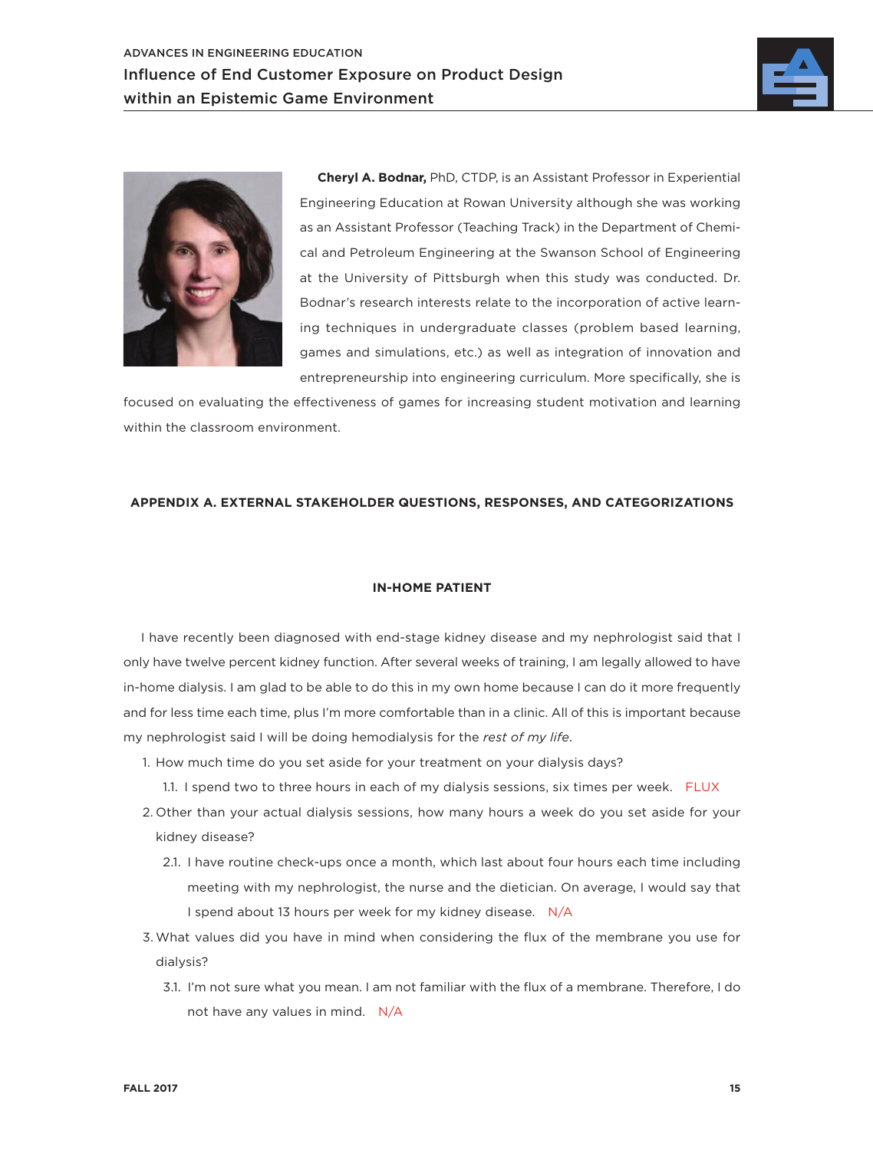



**Cheryl A. Bodnar,** PhD, CTDP, is an Assistant Professor in Experiential Engineering Education at Rowan University although she was working as an Assistant Professor (Teaching Track) in the Department of Chemical and Petroleum Engineering at the Swanson School of Engineering at the University of Pittsburgh when this study was conducted. Dr. Bodnar's research interests relate to the incorporation of active learning techniques in undergraduate classes (problem based learning, games and simulations, etc.) as well as integration of innovation and entrepreneurship into engineering curriculum. More specifically, she is

focused on evaluating the effectiveness of games for increasing student motivation and learning within the classroom environment.

#### **APPENDIX A. EXTERNAL STAKEHOLDER QUESTIONS, RESPONSES, AND CATEGORIZATIONS**

#### **IN-HOME PATIENT**

I have recently been diagnosed with end-stage kidney disease and my nephrologist said that I only have twelve percent kidney function. After several weeks of training, I am legally allowed to have in-home dialysis. I am glad to be able to do this in my own home because I can do it more frequently and for less time each time, plus I'm more comfortable than in a clinic. All of this is important because my nephrologist said I will be doing hemodialysis for the *rest of my life*.

- 1. How much time do you set aside for your treatment on your dialysis days?
	- 1.1. I spend two to three hours in each of my dialysis sessions, six times per week. FLUX
- 2. Other than your actual dialysis sessions, how many hours a week do you set aside for your kidney disease?
	- 2.1. I have routine check-ups once a month, which last about four hours each time including meeting with my nephrologist, the nurse and the dietician. On average, I would say that I spend about 13 hours per week for my kidney disease. N/A
- 3. What values did you have in mind when considering the flux of the membrane you use for dialysis?
	- 3.1. I'm not sure what you mean. I am not familiar with the flux of a membrane. Therefore, I do not have any values in mind. N/A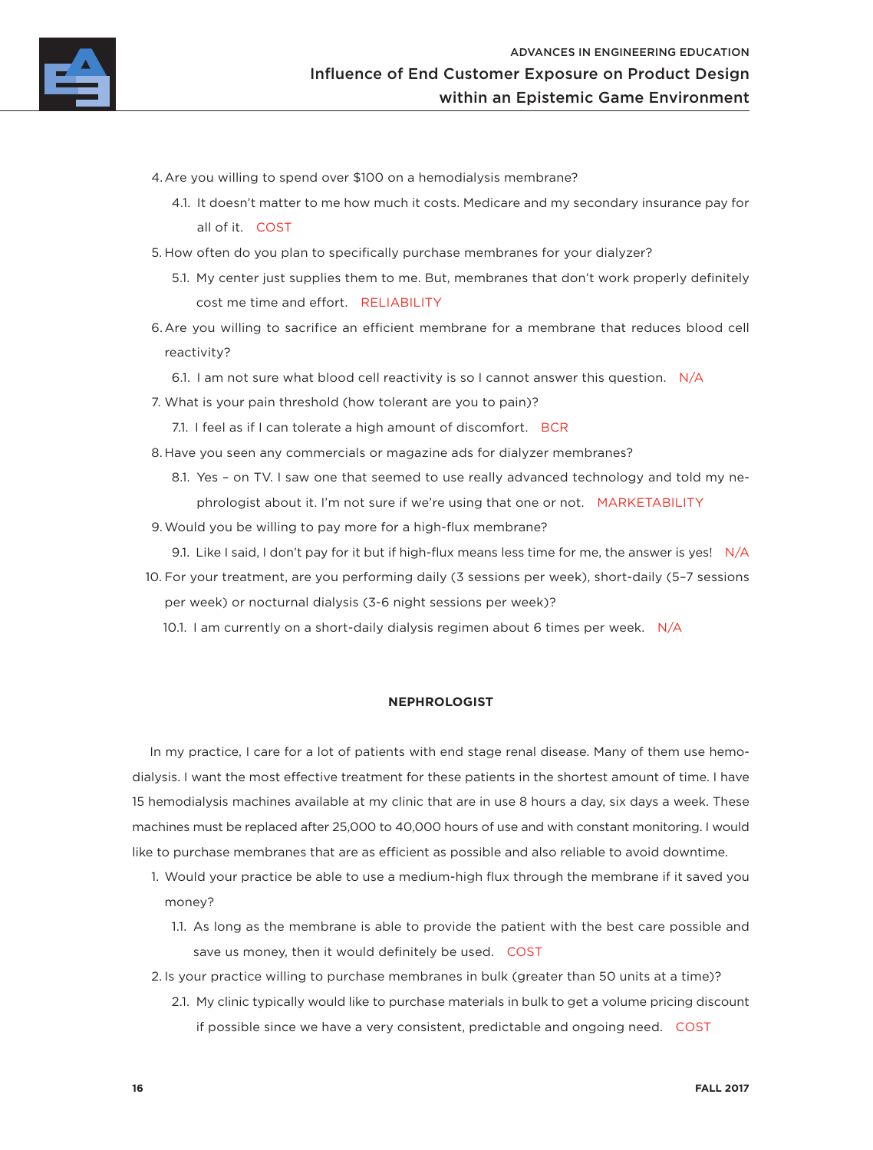

- 4.Are you willing to spend over \$100 on a hemodialysis membrane?
	- 4.1. It doesn't matter to me how much it costs. Medicare and my secondary insurance pay for all of it. COST
- 5. How often do you plan to specifically purchase membranes for your dialyzer?
	- 5.1. My center just supplies them to me. But, membranes that don't work properly definitely cost me time and effort. RELIABILITY
- 6.Are you willing to sacrifice an efficient membrane for a membrane that reduces blood cell reactivity?
	- 6.1. I am not sure what blood cell reactivity is so I cannot answer this question. N/A
- 7. What is your pain threshold (how tolerant are you to pain)?
	- 7.1. I feel as if I can tolerate a high amount of discomfort. BCR
- 8. Have you seen any commercials or magazine ads for dialyzer membranes?
	- 8.1. Yes on TV. I saw one that seemed to use really advanced technology and told my nephrologist about it. I'm not sure if we're using that one or not. MARKETABILITY
- 9.Would you be willing to pay more for a high-flux membrane?
	- 9.1. Like I said, I don't pay for it but if high-flux means less time for me, the answer is yes!  $N/A$
- 10. For your treatment, are you performing daily (3 sessions per week), short-daily (5–7 sessions per week) or nocturnal dialysis (3-6 night sessions per week)?
	- 10.1. I am currently on a short-daily dialysis regimen about 6 times per week. N/A

#### **NEPHROLOGIST**

In my practice, I care for a lot of patients with end stage renal disease. Many of them use hemodialysis. I want the most effective treatment for these patients in the shortest amount of time. I have 15 hemodialysis machines available at my clinic that are in use 8 hours a day, six days a week. These machines must be replaced after 25,000 to 40,000 hours of use and with constant monitoring. I would like to purchase membranes that are as efficient as possible and also reliable to avoid downtime.

- 1. Would your practice be able to use a medium-high flux through the membrane if it saved you money?
	- 1.1. As long as the membrane is able to provide the patient with the best care possible and save us money, then it would definitely be used. COST
- 2. Is your practice willing to purchase membranes in bulk (greater than 50 units at a time)?
	- 2.1. My clinic typically would like to purchase materials in bulk to get a volume pricing discount if possible since we have a very consistent, predictable and ongoing need. COST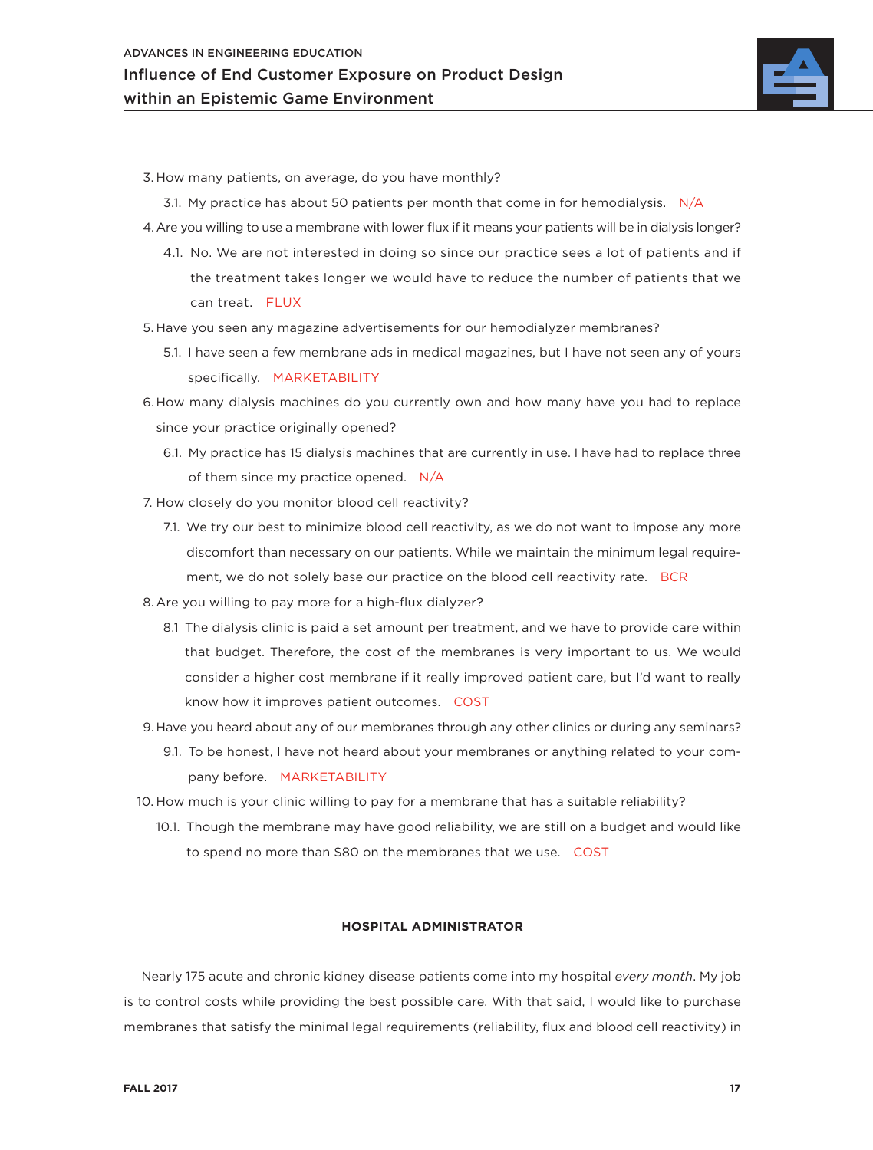

- 3. How many patients, on average, do you have monthly?
	- 3.1. My practice has about 50 patients per month that come in for hemodialysis.  $N/A$
- 4.Are you willing to use a membrane with lower flux if it means your patients will be in dialysis longer?
	- 4.1. No. We are not interested in doing so since our practice sees a lot of patients and if the treatment takes longer we would have to reduce the number of patients that we can treat. FLUX
- 5. Have you seen any magazine advertisements for our hemodialyzer membranes?
	- 5.1. I have seen a few membrane ads in medical magazines, but I have not seen any of yours specifically. MARKETABILITY
- 6. How many dialysis machines do you currently own and how many have you had to replace since your practice originally opened?
	- 6.1. My practice has 15 dialysis machines that are currently in use. I have had to replace three of them since my practice opened. N/A
- 7. How closely do you monitor blood cell reactivity?
	- 7.1. We try our best to minimize blood cell reactivity, as we do not want to impose any more discomfort than necessary on our patients. While we maintain the minimum legal requirement, we do not solely base our practice on the blood cell reactivity rate. BCR
- 8. Are you willing to pay more for a high-flux dialyzer?
	- 8.1 The dialysis clinic is paid a set amount per treatment, and we have to provide care within that budget. Therefore, the cost of the membranes is very important to us. We would consider a higher cost membrane if it really improved patient care, but I'd want to really know how it improves patient outcomes. COST
- 9. Have you heard about any of our membranes through any other clinics or during any seminars?
	- 9.1. To be honest, I have not heard about your membranes or anything related to your company before. MARKETABILITY
- 10. How much is your clinic willing to pay for a membrane that has a suitable reliability?
	- 10.1. Though the membrane may have good reliability, we are still on a budget and would like to spend no more than \$80 on the membranes that we use. COST

#### **HOSPITAL ADMINISTRATOR**

Nearly 175 acute and chronic kidney disease patients come into my hospital *every month*. My job is to control costs while providing the best possible care. With that said, I would like to purchase membranes that satisfy the minimal legal requirements (reliability, flux and blood cell reactivity) in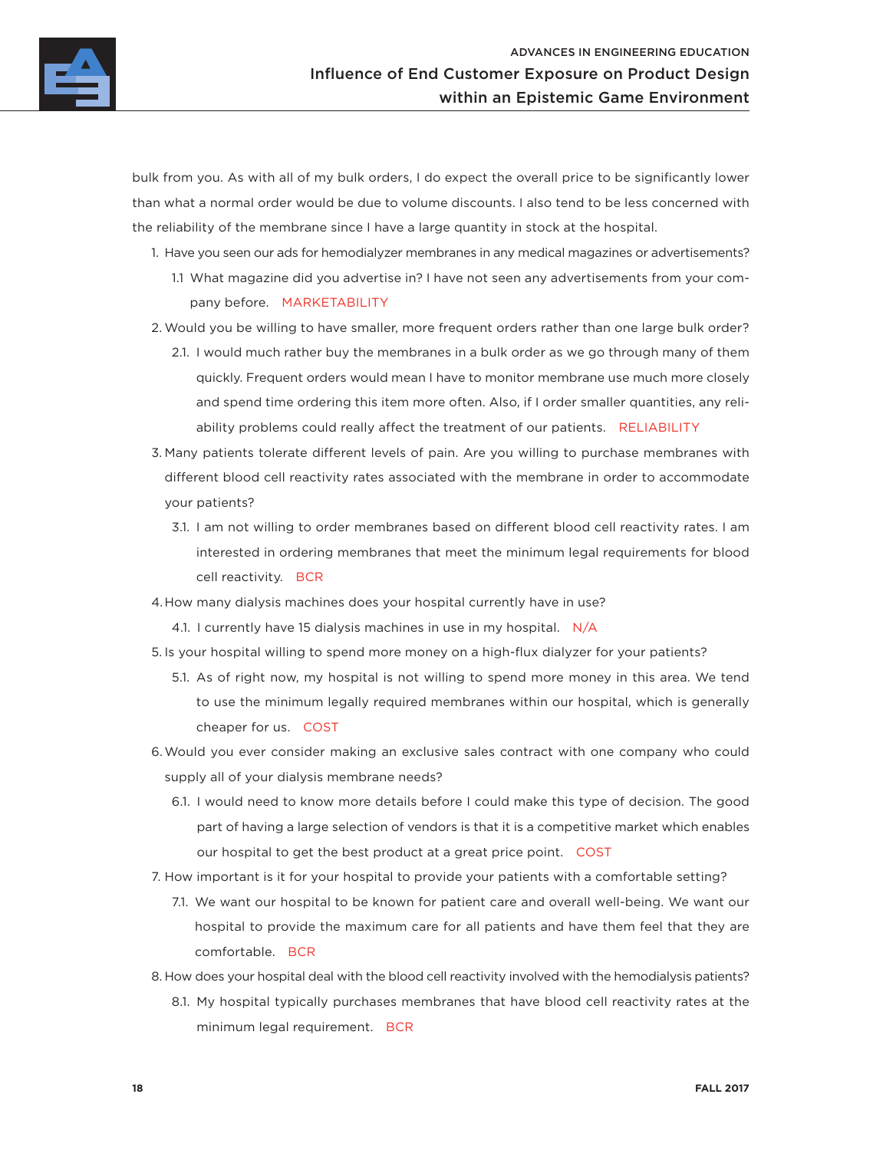

bulk from you. As with all of my bulk orders, I do expect the overall price to be significantly lower than what a normal order would be due to volume discounts. I also tend to be less concerned with the reliability of the membrane since I have a large quantity in stock at the hospital.

1. Have you seen our ads for hemodialyzer membranes in any medical magazines or advertisements?

- 1.1 What magazine did you advertise in? I have not seen any advertisements from your company before. MARKETABILITY
- 2. Would you be willing to have smaller, more frequent orders rather than one large bulk order?
	- 2.1. I would much rather buy the membranes in a bulk order as we go through many of them quickly. Frequent orders would mean I have to monitor membrane use much more closely and spend time ordering this item more often. Also, if I order smaller quantities, any reliability problems could really affect the treatment of our patients. RELIABILITY
- 3. Many patients tolerate different levels of pain. Are you willing to purchase membranes with different blood cell reactivity rates associated with the membrane in order to accommodate your patients?
	- 3.1. I am not willing to order membranes based on different blood cell reactivity rates. I am interested in ordering membranes that meet the minimum legal requirements for blood cell reactivity. BCR
- 4.How many dialysis machines does your hospital currently have in use?
	- 4.1. I currently have 15 dialysis machines in use in my hospital. N/A
- 5. Is your hospital willing to spend more money on a high-flux dialyzer for your patients?
	- 5.1. As of right now, my hospital is not willing to spend more money in this area. We tend to use the minimum legally required membranes within our hospital, which is generally cheaper for us. COST
- 6.Would you ever consider making an exclusive sales contract with one company who could supply all of your dialysis membrane needs?
	- 6.1. I would need to know more details before I could make this type of decision. The good part of having a large selection of vendors is that it is a competitive market which enables our hospital to get the best product at a great price point. COST
- 7. How important is it for your hospital to provide your patients with a comfortable setting?
	- 7.1. We want our hospital to be known for patient care and overall well-being. We want our hospital to provide the maximum care for all patients and have them feel that they are comfortable. BCR
- 8. How does your hospital deal with the blood cell reactivity involved with the hemodialysis patients?
	- 8.1. My hospital typically purchases membranes that have blood cell reactivity rates at the minimum legal requirement. BCR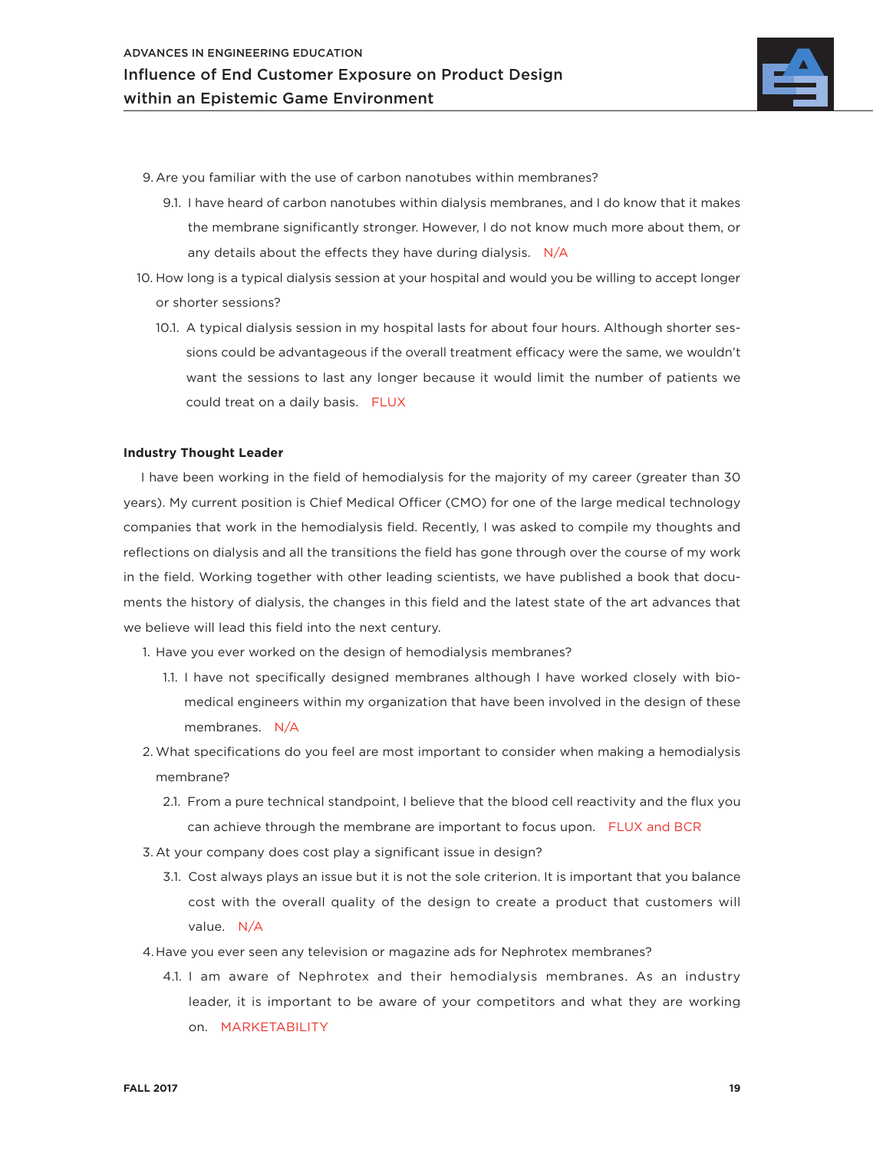

- 9. Are you familiar with the use of carbon nanotubes within membranes?
	- 9.1. I have heard of carbon nanotubes within dialysis membranes, and I do know that it makes the membrane significantly stronger. However, I do not know much more about them, or any details about the effects they have during dialysis. N/A
- 10. How long is a typical dialysis session at your hospital and would you be willing to accept longer or shorter sessions?
	- 10.1. A typical dialysis session in my hospital lasts for about four hours. Although shorter sessions could be advantageous if the overall treatment efficacy were the same, we wouldn't want the sessions to last any longer because it would limit the number of patients we could treat on a daily basis. FLUX

#### **Industry Thought Leader**

I have been working in the field of hemodialysis for the majority of my career (greater than 30 years). My current position is Chief Medical Officer (CMO) for one of the large medical technology companies that work in the hemodialysis field. Recently, I was asked to compile my thoughts and reflections on dialysis and all the transitions the field has gone through over the course of my work in the field. Working together with other leading scientists, we have published a book that documents the history of dialysis, the changes in this field and the latest state of the art advances that we believe will lead this field into the next century.

1. Have you ever worked on the design of hemodialysis membranes?

- 1.1. I have not specifically designed membranes although I have worked closely with biomedical engineers within my organization that have been involved in the design of these membranes. N/A
- 2. What specifications do you feel are most important to consider when making a hemodialysis membrane?
	- 2.1. From a pure technical standpoint, I believe that the blood cell reactivity and the flux you can achieve through the membrane are important to focus upon. FLUX and BCR
- 3. At your company does cost play a significant issue in design?
	- 3.1. Cost always plays an issue but it is not the sole criterion. It is important that you balance cost with the overall quality of the design to create a product that customers will value. N/A
- 4.Have you ever seen any television or magazine ads for Nephrotex membranes?
	- 4.1. I am aware of Nephrotex and their hemodialysis membranes. As an industry leader, it is important to be aware of your competitors and what they are working on. MARKETABILITY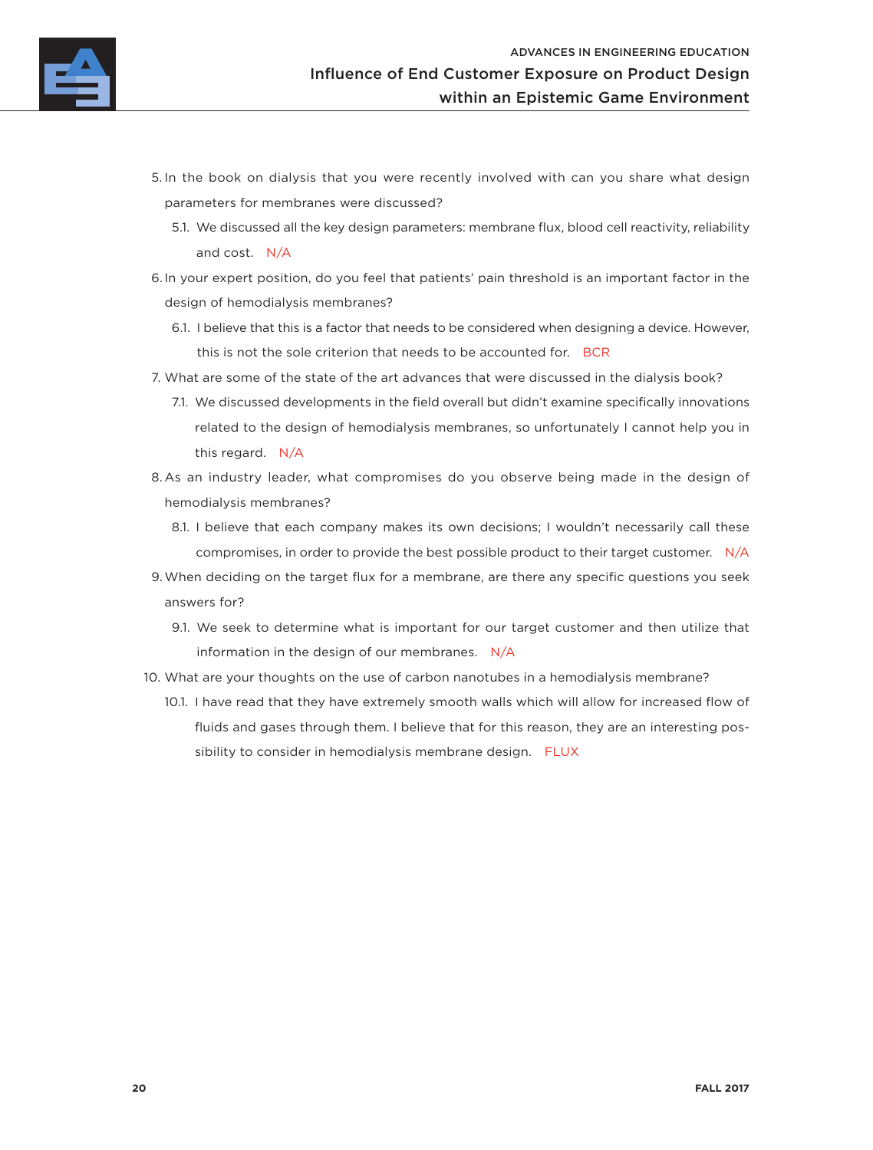

- 5. In the book on dialysis that you were recently involved with can you share what design parameters for membranes were discussed?
	- 5.1. We discussed all the key design parameters: membrane flux, blood cell reactivity, reliability and cost. N/A
- 6. In your expert position, do you feel that patients' pain threshold is an important factor in the design of hemodialysis membranes?
	- 6.1. I believe that this is a factor that needs to be considered when designing a device. However, this is not the sole criterion that needs to be accounted for. BCR
- 7. What are some of the state of the art advances that were discussed in the dialysis book?
	- 7.1. We discussed developments in the field overall but didn't examine specifically innovations related to the design of hemodialysis membranes, so unfortunately I cannot help you in this regard. N/A
- 8. As an industry leader, what compromises do you observe being made in the design of hemodialysis membranes?
	- 8.1. I believe that each company makes its own decisions; I wouldn't necessarily call these compromises, in order to provide the best possible product to their target customer. N/A
- 9.When deciding on the target flux for a membrane, are there any specific questions you seek answers for?
	- 9.1. We seek to determine what is important for our target customer and then utilize that information in the design of our membranes. N/A
- 10. What are your thoughts on the use of carbon nanotubes in a hemodialysis membrane?
	- 10.1. I have read that they have extremely smooth walls which will allow for increased flow of fluids and gases through them. I believe that for this reason, they are an interesting possibility to consider in hemodialysis membrane design. FLUX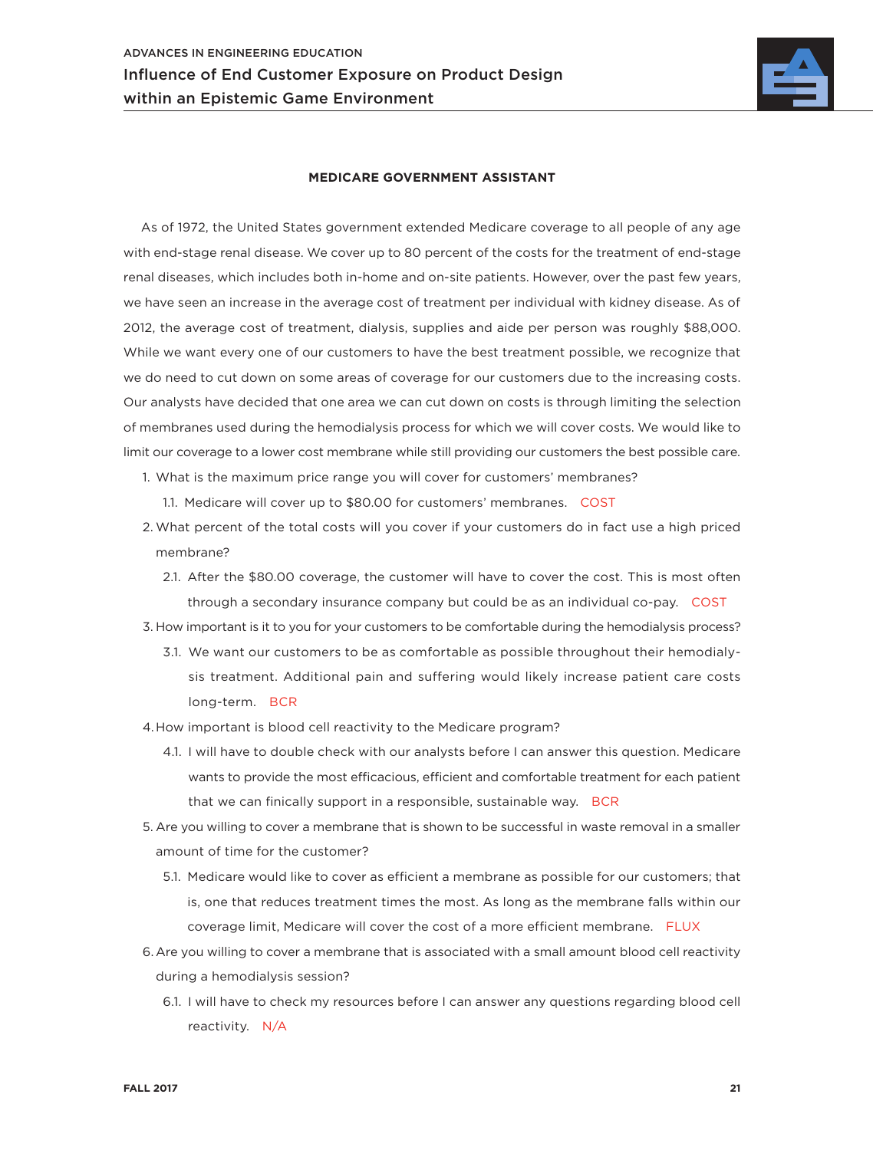

#### **MEDICARE GOVERNMENT ASSISTANT**

As of 1972, the United States government extended Medicare coverage to all people of any age with end-stage renal disease. We cover up to 80 percent of the costs for the treatment of end-stage renal diseases, which includes both in-home and on-site patients. However, over the past few years, we have seen an increase in the average cost of treatment per individual with kidney disease. As of 2012, the average cost of treatment, dialysis, supplies and aide per person was roughly \$88,000. While we want every one of our customers to have the best treatment possible, we recognize that we do need to cut down on some areas of coverage for our customers due to the increasing costs. Our analysts have decided that one area we can cut down on costs is through limiting the selection of membranes used during the hemodialysis process for which we will cover costs. We would like to limit our coverage to a lower cost membrane while still providing our customers the best possible care.

- 1. What is the maximum price range you will cover for customers' membranes?
	- 1.1. Medicare will cover up to \$80.00 for customers' membranes. COST
- 2. What percent of the total costs will you cover if your customers do in fact use a high priced membrane?
	- 2.1. After the \$80.00 coverage, the customer will have to cover the cost. This is most often through a secondary insurance company but could be as an individual co-pay. COST
- 3. How important is it to you for your customers to be comfortable during the hemodialysis process?
	- 3.1. We want our customers to be as comfortable as possible throughout their hemodialysis treatment. Additional pain and suffering would likely increase patient care costs long-term. BCR
- 4.How important is blood cell reactivity to the Medicare program?
	- 4.1. I will have to double check with our analysts before I can answer this question. Medicare wants to provide the most efficacious, efficient and comfortable treatment for each patient that we can finically support in a responsible, sustainable way. BCR
- 5. Are you willing to cover a membrane that is shown to be successful in waste removal in a smaller amount of time for the customer?
	- 5.1. Medicare would like to cover as efficient a membrane as possible for our customers; that is, one that reduces treatment times the most. As long as the membrane falls within our coverage limit, Medicare will cover the cost of a more efficient membrane. FLUX
- 6.Are you willing to cover a membrane that is associated with a small amount blood cell reactivity during a hemodialysis session?
	- 6.1. I will have to check my resources before I can answer any questions regarding blood cell reactivity. N/A